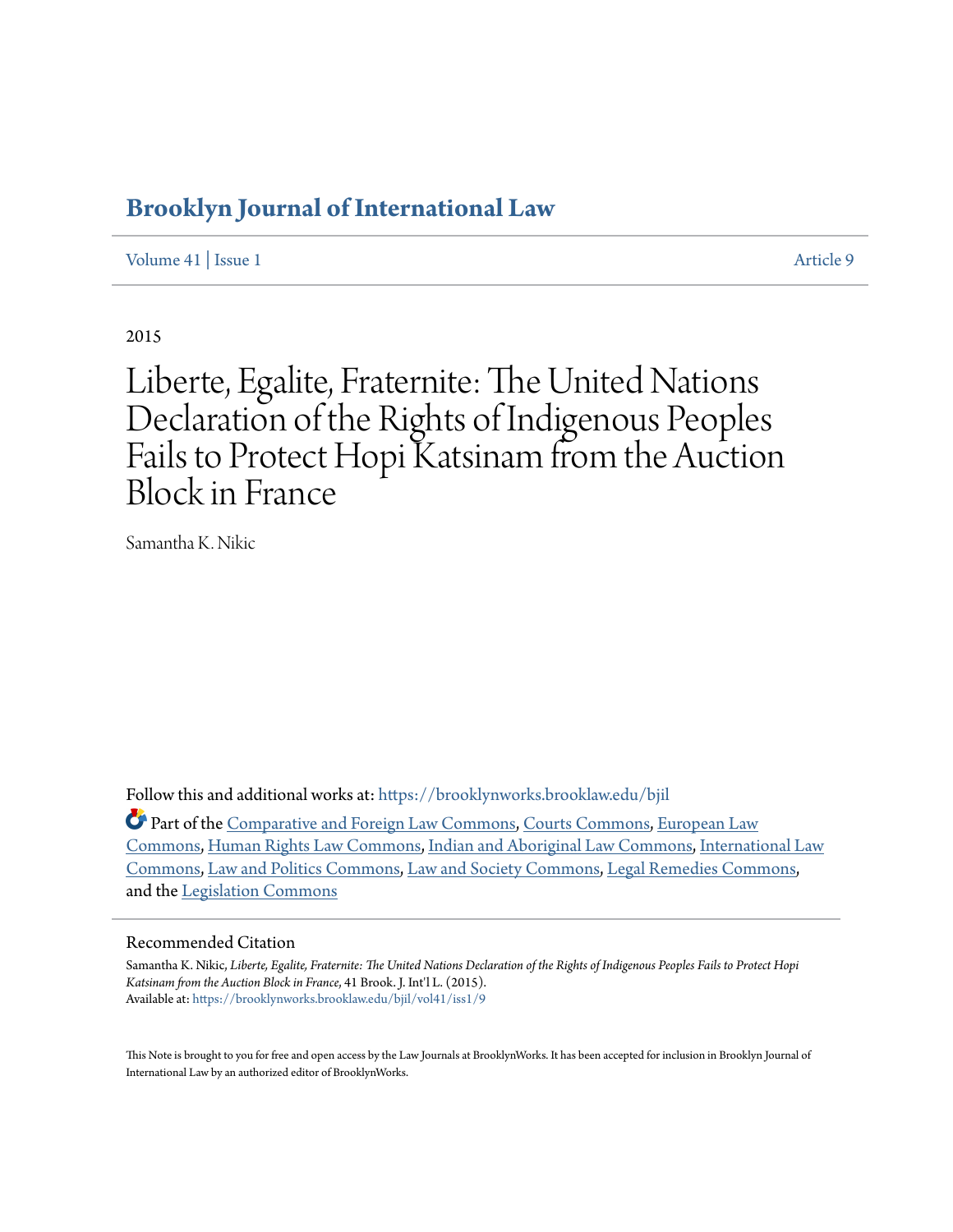# **[Brooklyn Journal of International Law](https://brooklynworks.brooklaw.edu/bjil?utm_source=brooklynworks.brooklaw.edu%2Fbjil%2Fvol41%2Fiss1%2F9&utm_medium=PDF&utm_campaign=PDFCoverPages)**

[Volume 41](https://brooklynworks.brooklaw.edu/bjil/vol41?utm_source=brooklynworks.brooklaw.edu%2Fbjil%2Fvol41%2Fiss1%2F9&utm_medium=PDF&utm_campaign=PDFCoverPages) | [Issue 1](https://brooklynworks.brooklaw.edu/bjil/vol41/iss1?utm_source=brooklynworks.brooklaw.edu%2Fbjil%2Fvol41%2Fiss1%2F9&utm_medium=PDF&utm_campaign=PDFCoverPages) [Article 9](https://brooklynworks.brooklaw.edu/bjil/vol41/iss1/9?utm_source=brooklynworks.brooklaw.edu%2Fbjil%2Fvol41%2Fiss1%2F9&utm_medium=PDF&utm_campaign=PDFCoverPages)

2015

# Liberte, Egalite, Fraternite: The United Nations Declaration of the Rights of Indigenous Peoples Fails to Protect Hopi Katsinam from the Auction Block in France

Samantha K. Nikic

Follow this and additional works at: [https://brooklynworks.brooklaw.edu/bjil](https://brooklynworks.brooklaw.edu/bjil?utm_source=brooklynworks.brooklaw.edu%2Fbjil%2Fvol41%2Fiss1%2F9&utm_medium=PDF&utm_campaign=PDFCoverPages)

Part of the [Comparative and Foreign Law Commons](http://network.bepress.com/hgg/discipline/836?utm_source=brooklynworks.brooklaw.edu%2Fbjil%2Fvol41%2Fiss1%2F9&utm_medium=PDF&utm_campaign=PDFCoverPages), [Courts Commons,](http://network.bepress.com/hgg/discipline/839?utm_source=brooklynworks.brooklaw.edu%2Fbjil%2Fvol41%2Fiss1%2F9&utm_medium=PDF&utm_campaign=PDFCoverPages) [European Law](http://network.bepress.com/hgg/discipline/1084?utm_source=brooklynworks.brooklaw.edu%2Fbjil%2Fvol41%2Fiss1%2F9&utm_medium=PDF&utm_campaign=PDFCoverPages) [Commons,](http://network.bepress.com/hgg/discipline/1084?utm_source=brooklynworks.brooklaw.edu%2Fbjil%2Fvol41%2Fiss1%2F9&utm_medium=PDF&utm_campaign=PDFCoverPages) [Human Rights Law Commons,](http://network.bepress.com/hgg/discipline/847?utm_source=brooklynworks.brooklaw.edu%2Fbjil%2Fvol41%2Fiss1%2F9&utm_medium=PDF&utm_campaign=PDFCoverPages) [Indian and Aboriginal Law Commons](http://network.bepress.com/hgg/discipline/894?utm_source=brooklynworks.brooklaw.edu%2Fbjil%2Fvol41%2Fiss1%2F9&utm_medium=PDF&utm_campaign=PDFCoverPages), [International Law](http://network.bepress.com/hgg/discipline/609?utm_source=brooklynworks.brooklaw.edu%2Fbjil%2Fvol41%2Fiss1%2F9&utm_medium=PDF&utm_campaign=PDFCoverPages) [Commons,](http://network.bepress.com/hgg/discipline/609?utm_source=brooklynworks.brooklaw.edu%2Fbjil%2Fvol41%2Fiss1%2F9&utm_medium=PDF&utm_campaign=PDFCoverPages) [Law and Politics Commons](http://network.bepress.com/hgg/discipline/867?utm_source=brooklynworks.brooklaw.edu%2Fbjil%2Fvol41%2Fiss1%2F9&utm_medium=PDF&utm_campaign=PDFCoverPages), [Law and Society Commons,](http://network.bepress.com/hgg/discipline/853?utm_source=brooklynworks.brooklaw.edu%2Fbjil%2Fvol41%2Fiss1%2F9&utm_medium=PDF&utm_campaign=PDFCoverPages) [Legal Remedies Commons,](http://network.bepress.com/hgg/discipline/618?utm_source=brooklynworks.brooklaw.edu%2Fbjil%2Fvol41%2Fiss1%2F9&utm_medium=PDF&utm_campaign=PDFCoverPages) and the [Legislation Commons](http://network.bepress.com/hgg/discipline/859?utm_source=brooklynworks.brooklaw.edu%2Fbjil%2Fvol41%2Fiss1%2F9&utm_medium=PDF&utm_campaign=PDFCoverPages)

# Recommended Citation

Samantha K. Nikic, *Liberte, Egalite, Fraternite: The United Nations Declaration of the Rights of Indigenous Peoples Fails to Protect Hopi Katsinam from the Auction Block in France*, 41 Brook. J. Int'l L. (2015). Available at: [https://brooklynworks.brooklaw.edu/bjil/vol41/iss1/9](https://brooklynworks.brooklaw.edu/bjil/vol41/iss1/9?utm_source=brooklynworks.brooklaw.edu%2Fbjil%2Fvol41%2Fiss1%2F9&utm_medium=PDF&utm_campaign=PDFCoverPages)

This Note is brought to you for free and open access by the Law Journals at BrooklynWorks. It has been accepted for inclusion in Brooklyn Journal of International Law by an authorized editor of BrooklynWorks.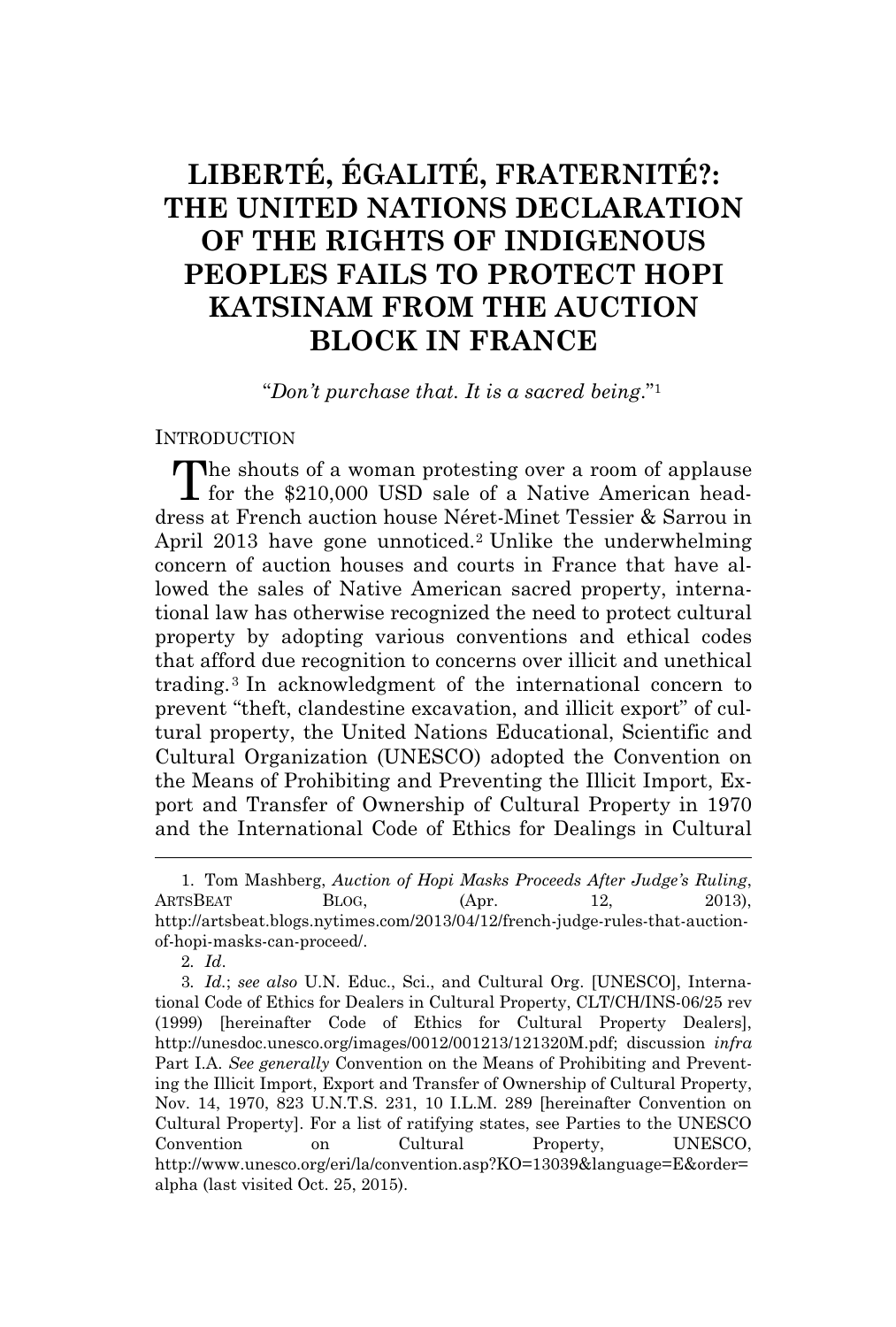# **LIBERTÉ, ÉGALITÉ, FRATERNITÉ?: THE UNITED NATIONS DECLARATION OF THE RIGHTS OF INDIGENOUS PEOPLES FAILS TO PROTECT HOPI KATSINAM FROM THE AUCTION BLOCK IN FRANCE**

"*Don't purchase that. It is a sacred being*." 1

#### **INTRODUCTION**

The shouts of a woman protesting over a room of applause<br>
I for the \$210,000 USD sale of a Native American head-L for the \$210,000 USD sale of a Native American headdress at French auction house Néret-Minet Tessier & Sarrou in April 2013 have gone unnoticed.<sup>2</sup> Unlike the underwhelming concern of auction houses and courts in France that have allowed the sales of Native American sacred property, international law has otherwise recognized the need to protect cultural property by adopting various conventions and ethical codes that afford due recognition to concerns over illicit and unethical trading.<sup>3</sup> In acknowledgment of the international concern to prevent "theft, clandestine excavation, and illicit export" of cultural property, the United Nations Educational, Scientific and Cultural Organization (UNESCO) adopted the Convention on the Means of Prohibiting and Preventing the Illicit Import, Export and Transfer of Ownership of Cultural Property in 1970 and the International Code of Ethics for Dealings in Cultural

2*. Id*.

<sup>1.</sup> Tom Mashberg, *Auction of Hopi Masks Proceeds After Judge's Ruling*, ARTSBEAT BLOG, (Apr. 12, 2013), http://artsbeat.blogs.nytimes.com/2013/04/12/french-judge-rules-that-auctionof-hopi-masks-can-proceed/.

<sup>3</sup>*. Id.*; *see also* U.N. Educ., Sci., and Cultural Org. [UNESCO], International Code of Ethics for Dealers in Cultural Property, CLT/CH/INS-06/25 rev (1999) [hereinafter Code of Ethics for Cultural Property Dealers], http://unesdoc.unesco.org/images/0012/001213/121320M.pdf; discussion *infra* Part I.A. *See generally* Convention on the Means of Prohibiting and Preventing the Illicit Import, Export and Transfer of Ownership of Cultural Property, Nov. 14, 1970, 823 U.N.T.S. 231, 10 I.L.M. 289 [hereinafter Convention on Cultural Property]. For a list of ratifying states, see Parties to the UNESCO Convention on Cultural Property, UNESCO, http://www.unesco.org/eri/la/convention.asp?KO=13039&language=E&order= alpha (last visited Oct. 25, 2015).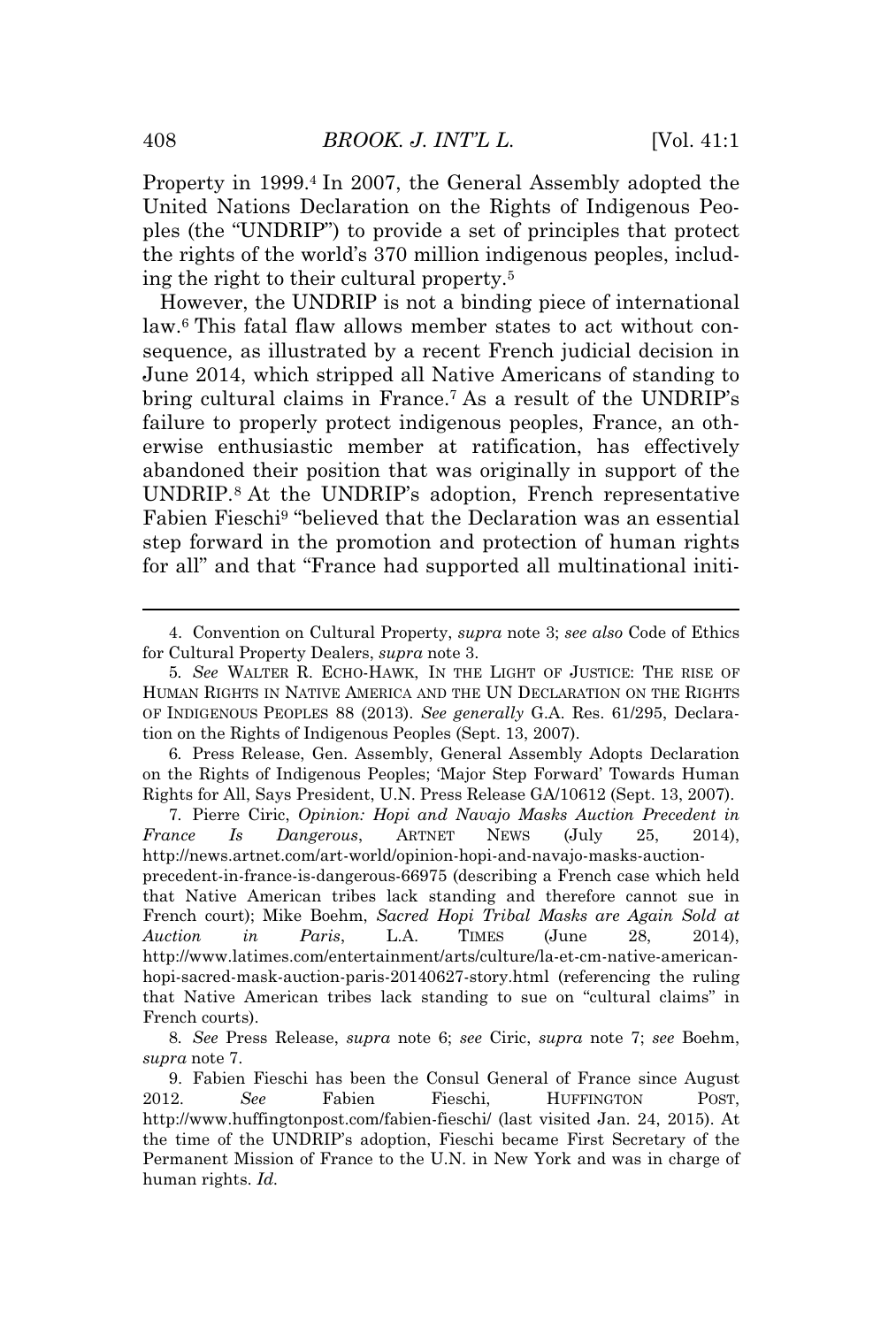Property in 1999.<sup>4</sup> In 2007, the General Assembly adopted the United Nations Declaration on the Rights of Indigenous Peoples (the "UNDRIP") to provide a set of principles that protect the rights of the world's 370 million indigenous peoples, including the right to their cultural property.<sup>5</sup>

However, the UNDRIP is not a binding piece of international law.<sup>6</sup> This fatal flaw allows member states to act without consequence, as illustrated by a recent French judicial decision in June 2014, which stripped all Native Americans of standing to bring cultural claims in France.<sup>7</sup> As a result of the UNDRIP's failure to properly protect indigenous peoples, France, an otherwise enthusiastic member at ratification, has effectively abandoned their position that was originally in support of the UNDRIP.<sup>8</sup> At the UNDRIP's adoption, French representative Fabien Fieschi<sup>9</sup> "believed that the Declaration was an essential step forward in the promotion and protection of human rights for all" and that "France had supported all multinational initi-

<sup>4.</sup> Convention on Cultural Property, *supra* note 3; *see also* Code of Ethics for Cultural Property Dealers, *supra* note 3.

<sup>5</sup>*. See* WALTER R. ECHO-HAWK, IN THE LIGHT OF JUSTICE: THE RISE OF HUMAN RIGHTS IN NATIVE AMERICA AND THE UN DECLARATION ON THE RIGHTS OF INDIGENOUS PEOPLES 88 (2013). *See generally* G.A. Res. 61/295, Declaration on the Rights of Indigenous Peoples (Sept. 13, 2007).

<sup>6</sup>*.* Press Release, Gen. Assembly, General Assembly Adopts Declaration on the Rights of Indigenous Peoples; 'Major Step Forward' Towards Human Rights for All, Says President, U.N. Press Release GA/10612 (Sept. 13, 2007).

<sup>7</sup>*.* Pierre Ciric, *Opinion: Hopi and Navajo Masks Auction Precedent in France Is Dangerous*, ARTNET NEWS (July 25, 2014), http://news.artnet.com/art-world/opinion-hopi-and-navajo-masks-auctionprecedent-in-france-is-dangerous-66975 (describing a French case which held that Native American tribes lack standing and therefore cannot sue in French court); Mike Boehm, *Sacred Hopi Tribal Masks are Again Sold at Auction in Paris*, L.A. TIMES (June 28, 2014), http://www.latimes.com/entertainment/arts/culture/la-et-cm-native-americanhopi-sacred-mask-auction-paris-20140627-story.html (referencing the ruling that Native American tribes lack standing to sue on "cultural claims" in French courts).

<sup>8</sup>*. See* Press Release, *supra* note 6; *see* Ciric, *supra* note 7; *see* Boehm, *supra* note 7.

<sup>9.</sup> Fabien Fieschi has been the Consul General of France since August 2012. *See* Fabien Fieschi, HUFFINGTON POST, http://www.huffingtonpost.com/fabien-fieschi/ (last visited Jan. 24, 2015). At the time of the UNDRIP's adoption, Fieschi became First Secretary of the Permanent Mission of France to the U.N. in New York and was in charge of human rights. *Id.*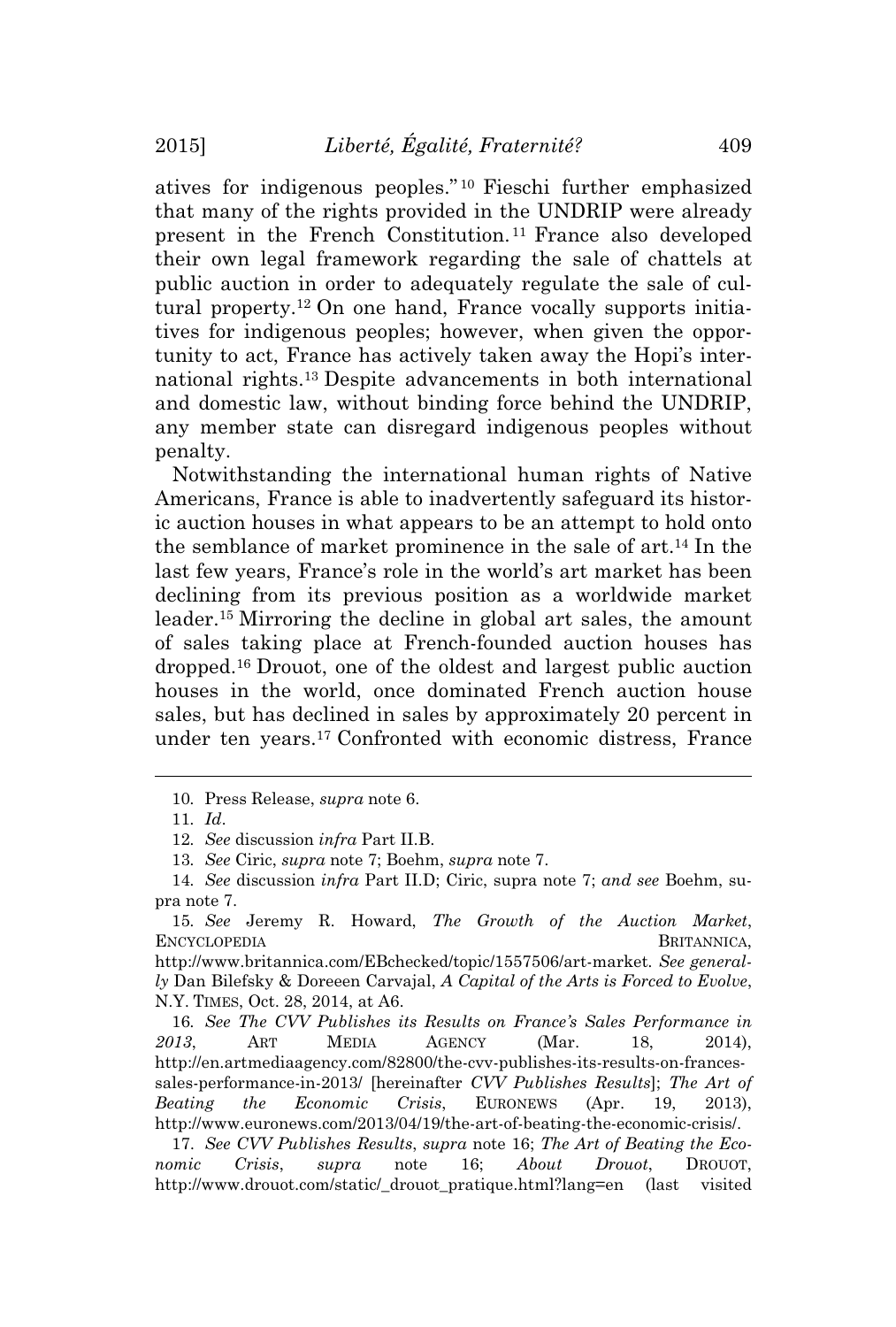atives for indigenous peoples." <sup>10</sup> Fieschi further emphasized that many of the rights provided in the UNDRIP were already present in the French Constitution. <sup>11</sup> France also developed their own legal framework regarding the sale of chattels at public auction in order to adequately regulate the sale of cultural property.<sup>12</sup> On one hand, France vocally supports initiatives for indigenous peoples; however, when given the opportunity to act, France has actively taken away the Hopi's international rights.<sup>13</sup> Despite advancements in both international and domestic law, without binding force behind the UNDRIP, any member state can disregard indigenous peoples without penalty.

Notwithstanding the international human rights of Native Americans, France is able to inadvertently safeguard its historic auction houses in what appears to be an attempt to hold onto the semblance of market prominence in the sale of art.<sup>14</sup> In the last few years, France's role in the world's art market has been declining from its previous position as a worldwide market leader.<sup>15</sup> Mirroring the decline in global art sales, the amount of sales taking place at French-founded auction houses has dropped.<sup>16</sup> Drouot, one of the oldest and largest public auction houses in the world, once dominated French auction house sales, but has declined in sales by approximately 20 percent in under ten years.<sup>17</sup> Confronted with economic distress, France

16*. See The CVV Publishes its Results on France's Sales Performance in 2013*, ART MEDIA AGENCY (Mar. 18, 2014), http://en.artmediaagency.com/82800/the-cvv-publishes-its-results-on-francessales-performance-in-2013/ [hereinafter *CVV Publishes Results*]; *The Art of Beating the Economic Crisis*, EURONEWS (Apr. 19, 2013), http://www.euronews.com/2013/04/19/the-art-of-beating-the-economic-crisis/.

17. *See CVV Publishes Results*, *supra* note 16; *The Art of Beating the Economic Crisis*, *supra* note 16; *About Drouot*, DROUOT, http://www.drouot.com/static/\_drouot\_pratique.html?lang=en (last visited

<sup>10</sup>*.* Press Release, *supra* note 6.

<sup>11</sup>*. Id*.

<sup>12</sup>*. See* discussion *infra* Part II.B.

<sup>13</sup>*. See* Ciric, *supra* note 7; Boehm, *supra* note 7.

<sup>14</sup>*. See* discussion *infra* Part II.D; Ciric, supra note 7; *and see* Boehm, supra note 7.

<sup>15</sup>*. See* Jeremy R. Howard, *The Growth of the Auction Market*, ENCYCLOPEDIA BRITANNICA,

http://www.britannica.com/EBchecked/topic/1557506/art-market*. See generally* Dan Bilefsky & Doreeen Carvajal, *A Capital of the Arts is Forced to Evolve*, N.Y. TIMES, Oct. 28, 2014, at A6.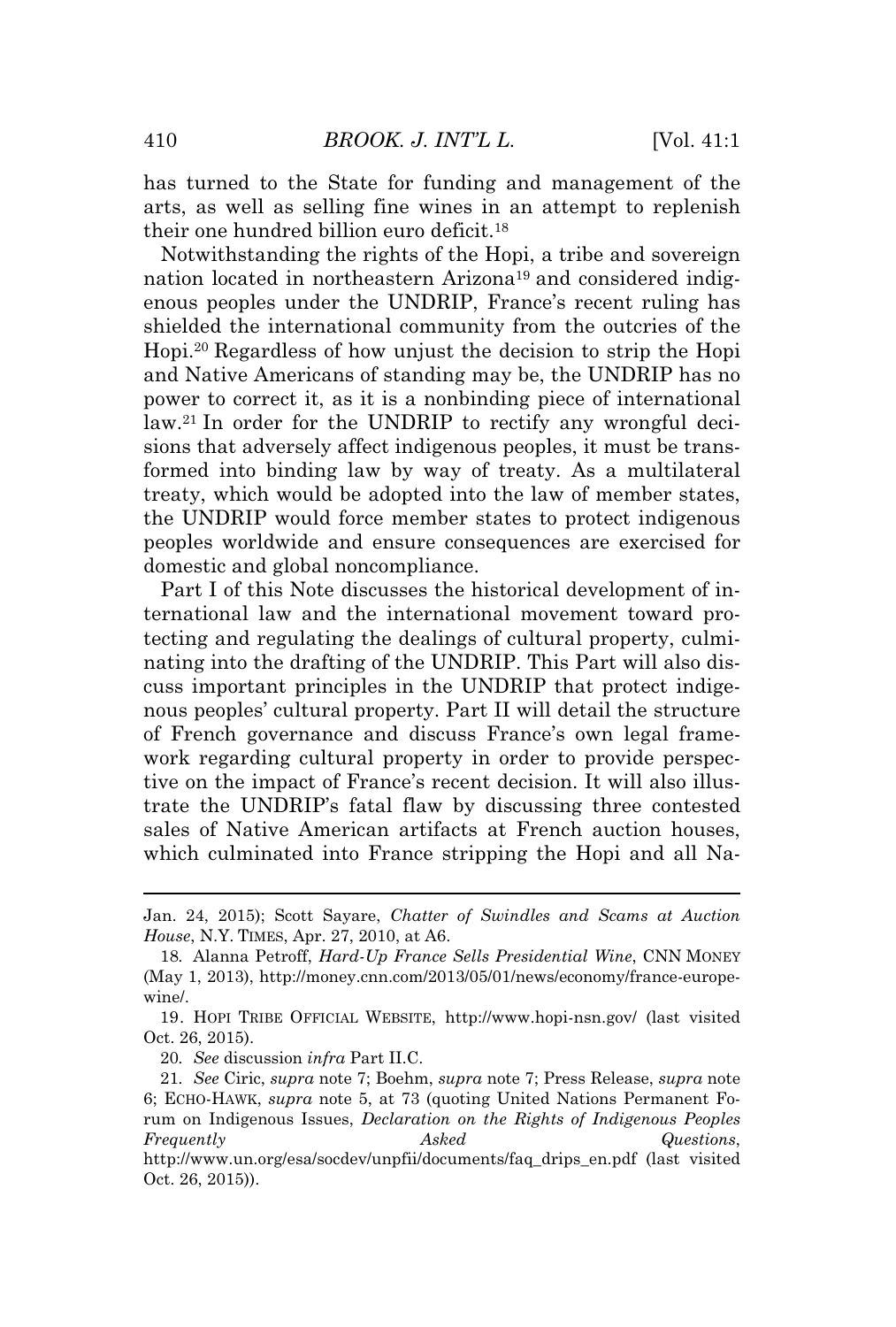has turned to the State for funding and management of the arts, as well as selling fine wines in an attempt to replenish their one hundred billion euro deficit.<sup>18</sup>

Notwithstanding the rights of the Hopi, a tribe and sovereign nation located in northeastern Arizona<sup>19</sup> and considered indigenous peoples under the UNDRIP, France's recent ruling has shielded the international community from the outcries of the Hopi.<sup>20</sup> Regardless of how unjust the decision to strip the Hopi and Native Americans of standing may be, the UNDRIP has no power to correct it, as it is a nonbinding piece of international law.<sup>21</sup> In order for the UNDRIP to rectify any wrongful decisions that adversely affect indigenous peoples, it must be transformed into binding law by way of treaty. As a multilateral treaty, which would be adopted into the law of member states, the UNDRIP would force member states to protect indigenous peoples worldwide and ensure consequences are exercised for domestic and global noncompliance.

Part I of this Note discusses the historical development of international law and the international movement toward protecting and regulating the dealings of cultural property, culminating into the drafting of the UNDRIP. This Part will also discuss important principles in the UNDRIP that protect indigenous peoples' cultural property. Part II will detail the structure of French governance and discuss France's own legal framework regarding cultural property in order to provide perspective on the impact of France's recent decision. It will also illustrate the UNDRIP's fatal flaw by discussing three contested sales of Native American artifacts at French auction houses, which culminated into France stripping the Hopi and all Na-

20*. See* discussion *infra* Part II.C.

Jan. 24, 2015); Scott Sayare, *Chatter of Swindles and Scams at Auction House*, N.Y. TIMES, Apr. 27, 2010, at A6.

<sup>18</sup>*.* Alanna Petroff, *Hard-Up France Sells Presidential Wine*, CNN MONEY (May 1, 2013), http://money.cnn.com/2013/05/01/news/economy/france-europewine/.

<sup>19.</sup> HOPI TRIBE OFFICIAL WEBSITE, http://www.hopi-nsn.gov/ (last visited Oct. 26, 2015).

<sup>21</sup>*. See* Ciric, *supra* note 7; Boehm, *supra* note 7; Press Release, *supra* note 6; ECHO-HAWK, *supra* note 5, at 73 (quoting United Nations Permanent Forum on Indigenous Issues, *Declaration on the Rights of Indigenous Peoples Frequently Asked Questions*,

http://www.un.org/esa/socdev/unpfii/documents/faq\_drips\_en.pdf (last visited Oct. 26, 2015)).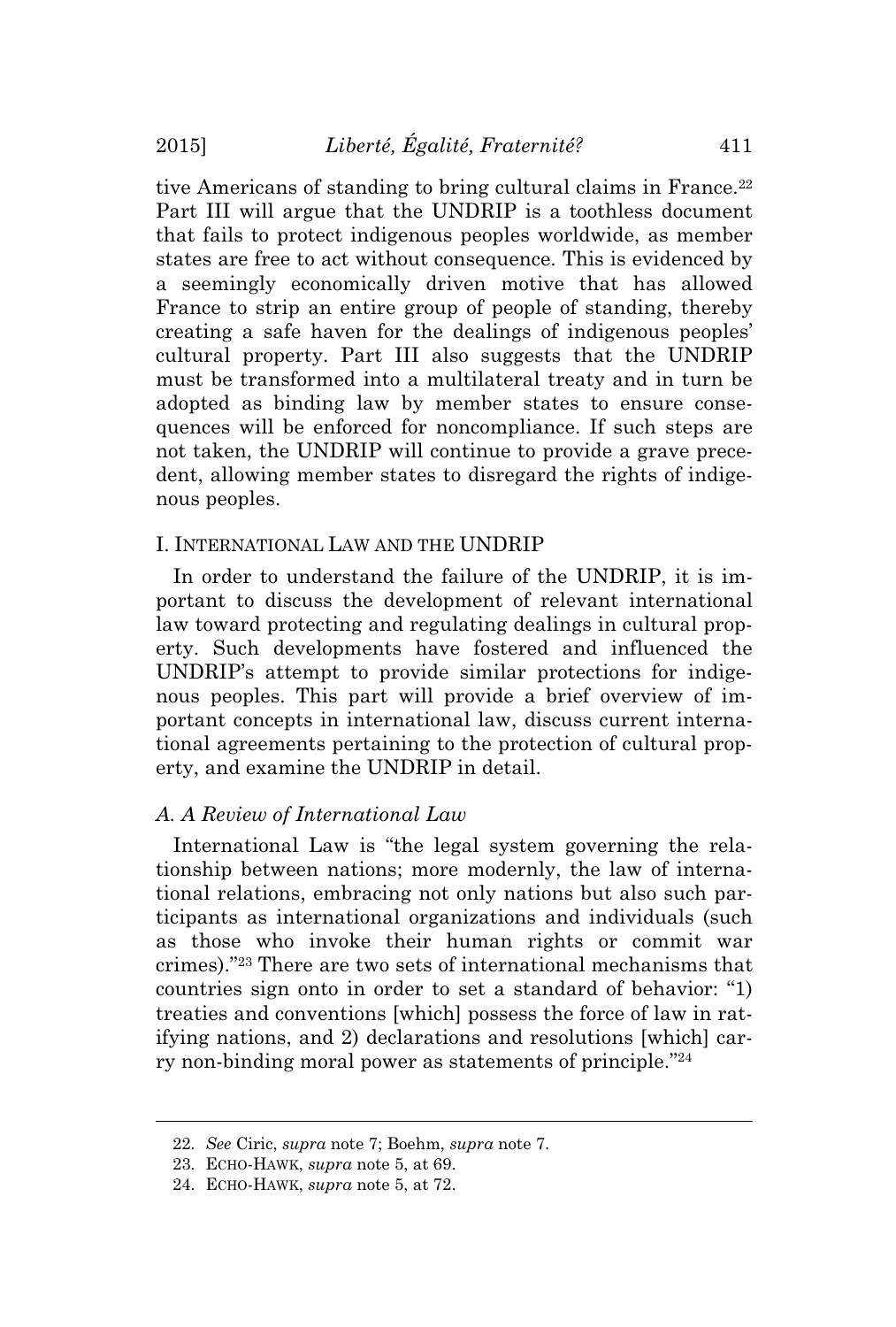tive Americans of standing to bring cultural claims in France.<sup>22</sup> Part III will argue that the UNDRIP is a toothless document that fails to protect indigenous peoples worldwide, as member states are free to act without consequence. This is evidenced by a seemingly economically driven motive that has allowed France to strip an entire group of people of standing, thereby creating a safe haven for the dealings of indigenous peoples' cultural property. Part III also suggests that the UNDRIP must be transformed into a multilateral treaty and in turn be adopted as binding law by member states to ensure consequences will be enforced for noncompliance. If such steps are not taken, the UNDRIP will continue to provide a grave precedent, allowing member states to disregard the rights of indigenous peoples.

# I. INTERNATIONAL LAW AND THE UNDRIP

In order to understand the failure of the UNDRIP, it is important to discuss the development of relevant international law toward protecting and regulating dealings in cultural property. Such developments have fostered and influenced the UNDRIP's attempt to provide similar protections for indigenous peoples. This part will provide a brief overview of important concepts in international law, discuss current international agreements pertaining to the protection of cultural property, and examine the UNDRIP in detail.

#### *A. A Review of International Law*

International Law is "the legal system governing the relationship between nations; more modernly, the law of international relations, embracing not only nations but also such participants as international organizations and individuals (such as those who invoke their human rights or commit war crimes)." <sup>23</sup> There are two sets of international mechanisms that countries sign onto in order to set a standard of behavior: "1) treaties and conventions [which] possess the force of law in ratifying nations, and 2) declarations and resolutions [which] carry non-binding moral power as statements of principle." 24

<sup>22</sup>*. See* Ciric, *supra* note 7; Boehm, *supra* note 7.

<sup>23</sup>*.* ECHO-HAWK, *supra* note 5, at 69.

<sup>24</sup>*.* ECHO-HAWK, *supra* note 5, at 72.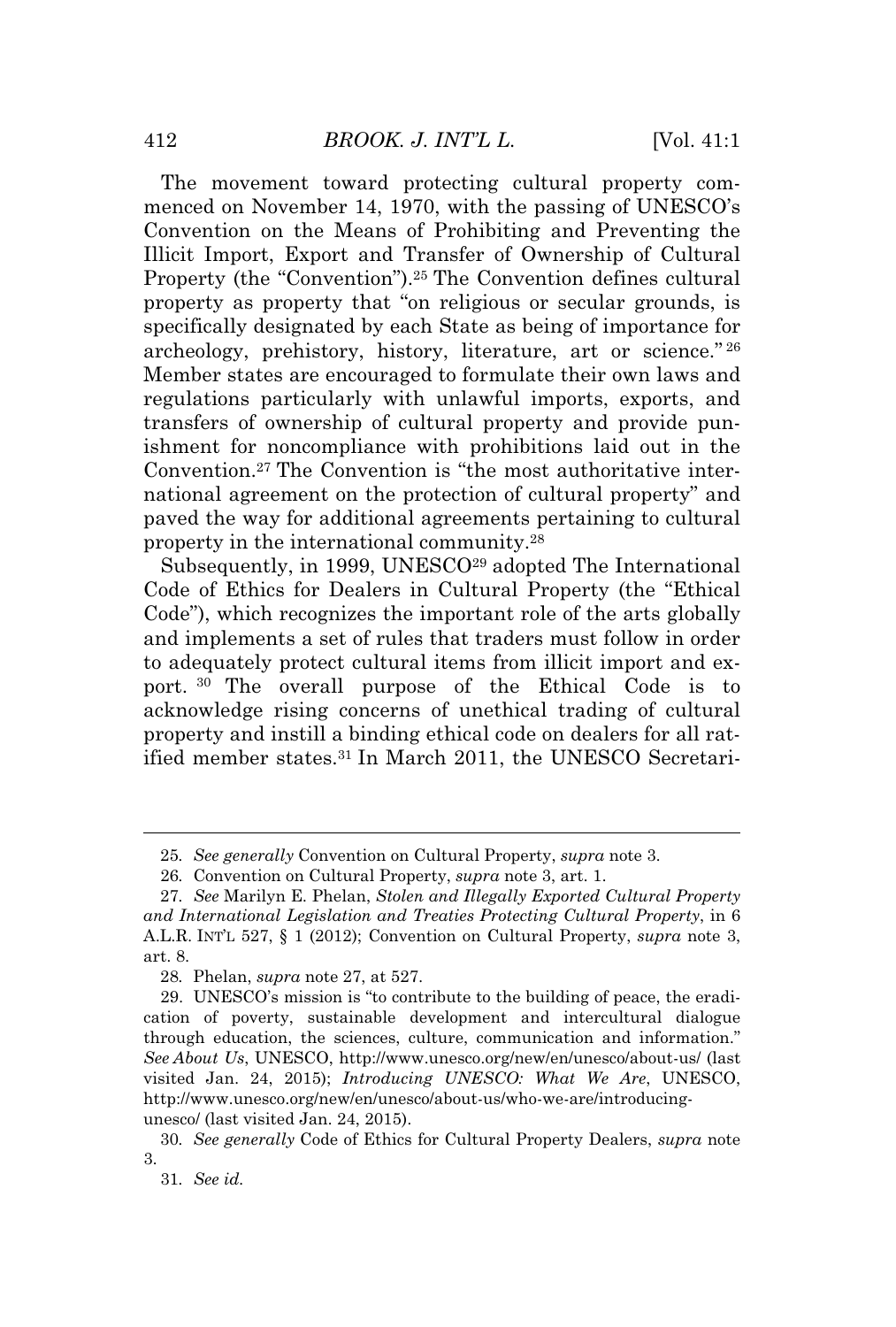The movement toward protecting cultural property commenced on November 14, 1970, with the passing of UNESCO's Convention on the Means of Prohibiting and Preventing the Illicit Import, Export and Transfer of Ownership of Cultural Property (the "Convention").<sup>25</sup> The Convention defines cultural property as property that "on religious or secular grounds, is specifically designated by each State as being of importance for archeology, prehistory, history, literature, art or science." 26 Member states are encouraged to formulate their own laws and regulations particularly with unlawful imports, exports, and transfers of ownership of cultural property and provide punishment for noncompliance with prohibitions laid out in the Convention.<sup>27</sup> The Convention is "the most authoritative international agreement on the protection of cultural property" and paved the way for additional agreements pertaining to cultural property in the international community.<sup>28</sup>

Subsequently, in 1999, UNESCO<sup>29</sup> adopted The International Code of Ethics for Dealers in Cultural Property (the "Ethical Code"), which recognizes the important role of the arts globally and implements a set of rules that traders must follow in order to adequately protect cultural items from illicit import and export. <sup>30</sup> The overall purpose of the Ethical Code is to acknowledge rising concerns of unethical trading of cultural property and instill a binding ethical code on dealers for all ratified member states.<sup>31</sup> In March 2011, the UNESCO Secretari-

<sup>25</sup>*. See generally* Convention on Cultural Property, *supra* note 3.

<sup>26</sup>*.* Convention on Cultural Property, *supra* note 3, art. 1.

<sup>27</sup>*. See* Marilyn E. Phelan, *Stolen and Illegally Exported Cultural Property and International Legislation and Treaties Protecting Cultural Property*, in 6 A.L.R. INT'<sup>L</sup> 527, § 1 (2012); Convention on Cultural Property, *supra* note 3, art. 8.

<sup>28</sup>*.* Phelan, *supra* note 27, at 527.

<sup>29.</sup> UNESCO's mission is "to contribute to the building of peace, the eradication of poverty, sustainable development and intercultural dialogue through education, the sciences, culture, communication and information." *See About Us*, UNESCO, http://www.unesco.org/new/en/unesco/about-us/ (last visited Jan. 24, 2015); *Introducing UNESCO: What We Are*, UNESCO, http://www.unesco.org/new/en/unesco/about-us/who-we-are/introducingunesco/ (last visited Jan. 24, 2015).

<sup>30</sup>*. See generally* Code of Ethics for Cultural Property Dealers, *supra* note 3.

<sup>31</sup>*. See id.*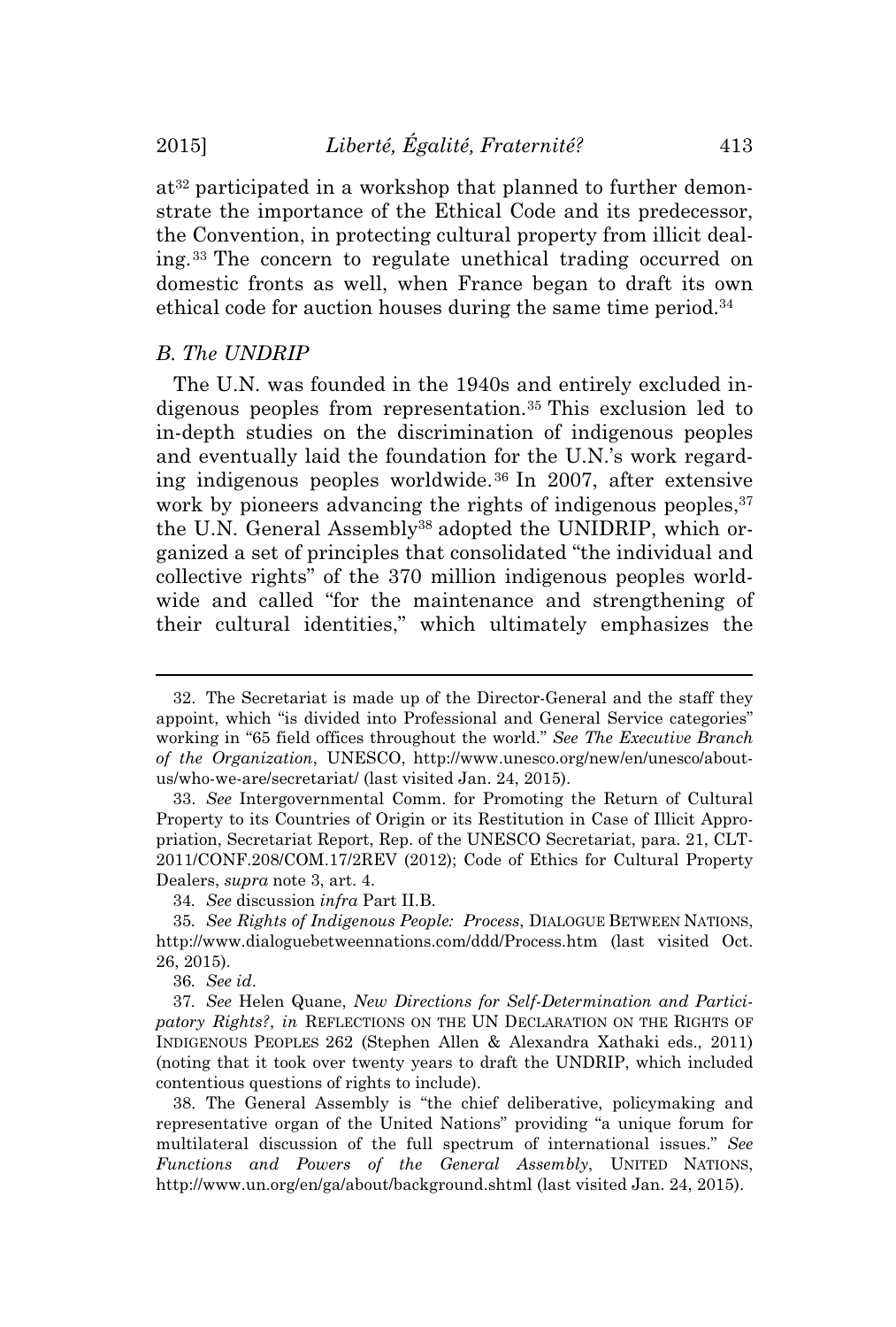at<sup>32</sup> participated in a workshop that planned to further demonstrate the importance of the Ethical Code and its predecessor, the Convention, in protecting cultural property from illicit dealing.<sup>33</sup> The concern to regulate unethical trading occurred on domestic fronts as well, when France began to draft its own ethical code for auction houses during the same time period.<sup>34</sup>

#### *B. The UNDRIP*

The U.N. was founded in the 1940s and entirely excluded indigenous peoples from representation.<sup>35</sup> This exclusion led to in-depth studies on the discrimination of indigenous peoples and eventually laid the foundation for the U.N.'s work regarding indigenous peoples worldwide.<sup>36</sup> In 2007, after extensive work by pioneers advancing the rights of indigenous peoples, <sup>37</sup> the U.N. General Assembly<sup>38</sup> adopted the UNIDRIP, which organized a set of principles that consolidated "the individual and collective rights" of the 370 million indigenous peoples worldwide and called "for the maintenance and strengthening of their cultural identities," which ultimately emphasizes the

<sup>32.</sup> The Secretariat is made up of the Director-General and the staff they appoint, which "is divided into Professional and General Service categories" working in "65 field offices throughout the world." *See The Executive Branch of the Organization*, UNESCO, http://www.unesco.org/new/en/unesco/aboutus/who-we-are/secretariat/ (last visited Jan. 24, 2015).

<sup>33.</sup> *See* Intergovernmental Comm. for Promoting the Return of Cultural Property to its Countries of Origin or its Restitution in Case of Illicit Appropriation, Secretariat Report, Rep. of the UNESCO Secretariat, para. 21, CLT-2011/CONF.208/COM.17/2REV (2012); Code of Ethics for Cultural Property Dealers, *supra* note 3, art. 4.

<sup>34</sup>*. See* discussion *infra* Part II.B.

<sup>35</sup>*. See Rights of Indigenous People: Process*, DIALOGUE BETWEEN NATIONS, http://www.dialoguebetweennations.com/ddd/Process.htm (last visited Oct. 26, 2015).

<sup>36</sup>*. See id*.

<sup>37</sup>*. See* Helen Quane, *New Directions for Self-Determination and Participatory Rights?*, *in* REFLECTIONS ON THE UN DECLARATION ON THE RIGHTS OF INDIGENOUS PEOPLES 262 (Stephen Allen & Alexandra Xathaki eds., 2011) (noting that it took over twenty years to draft the UNDRIP, which included contentious questions of rights to include).

<sup>38.</sup> The General Assembly is "the chief deliberative, policymaking and representative organ of the United Nations" providing "a unique forum for multilateral discussion of the full spectrum of international issues." *See Functions and Powers of the General Assembly*, UNITED NATIONS, http://www.un.org/en/ga/about/background.shtml (last visited Jan. 24, 2015).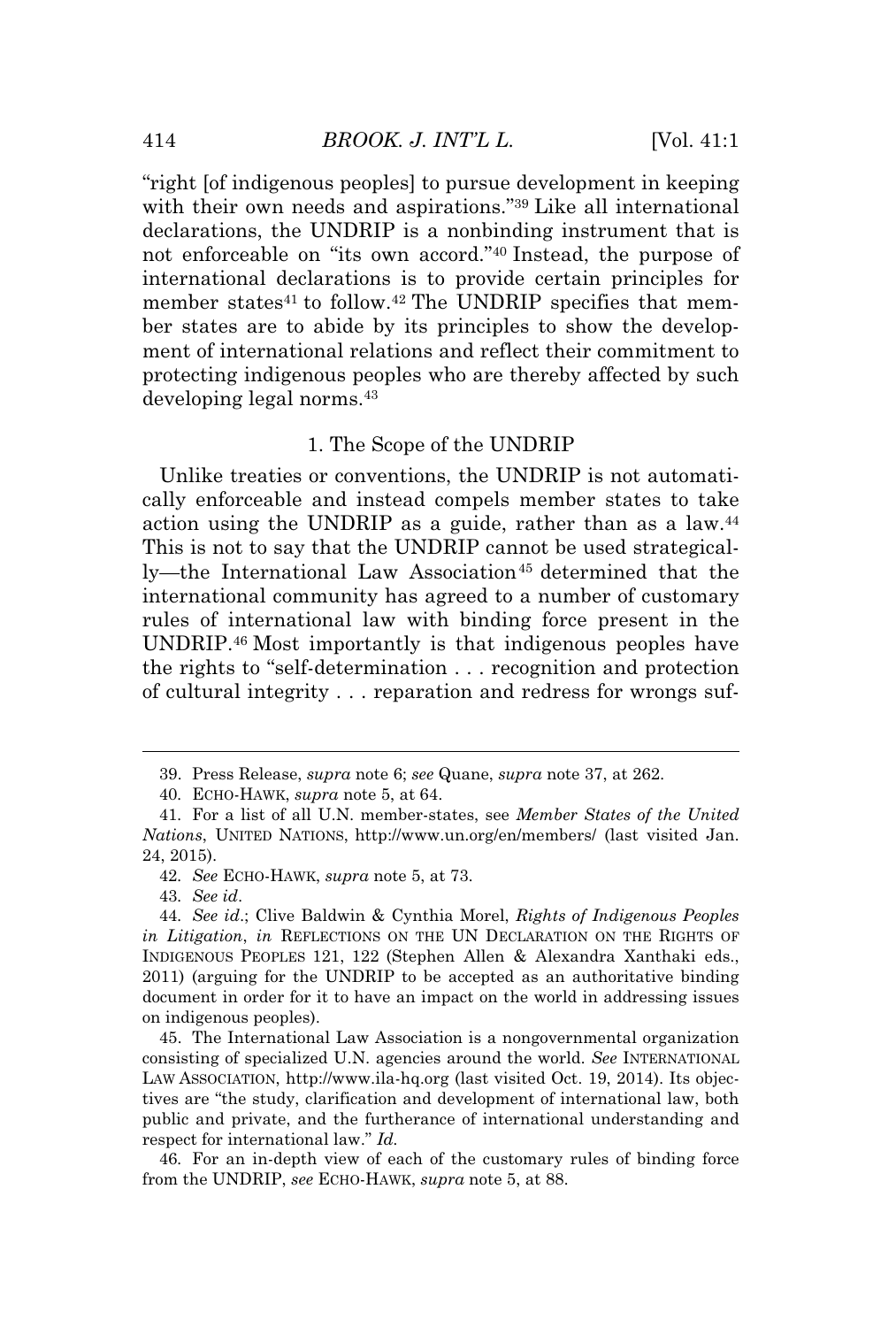"right [of indigenous peoples] to pursue development in keeping with their own needs and aspirations." <sup>39</sup> Like all international declarations, the UNDRIP is a nonbinding instrument that is not enforceable on "its own accord." <sup>40</sup> Instead, the purpose of international declarations is to provide certain principles for member states<sup>41</sup> to follow.<sup>42</sup> The UNDRIP specifies that member states are to abide by its principles to show the development of international relations and reflect their commitment to protecting indigenous peoples who are thereby affected by such developing legal norms.<sup>43</sup>

#### 1. The Scope of the UNDRIP

Unlike treaties or conventions, the UNDRIP is not automatically enforceable and instead compels member states to take action using the UNDRIP as a guide, rather than as a law.<sup>44</sup> This is not to say that the UNDRIP cannot be used strategically—the International Law Association<sup>45</sup> determined that the international community has agreed to a number of customary rules of international law with binding force present in the UNDRIP.<sup>46</sup> Most importantly is that indigenous peoples have the rights to "self-determination . . . recognition and protection of cultural integrity . . . reparation and redress for wrongs suf-

43*. See id*.

45. The International Law Association is a nongovernmental organization consisting of specialized U.N. agencies around the world. *See* INTERNATIONAL LAW ASSOCIATION, http://www.ila-hq.org (last visited Oct. 19, 2014). Its objectives are "the study, clarification and development of international law, both public and private, and the furtherance of international understanding and respect for international law." *Id.*

46*.* For an in-depth view of each of the customary rules of binding force from the UNDRIP, *see* ECHO-HAWK, *supra* note 5, at 88.

<sup>39.</sup> Press Release, *supra* note 6; *see* Quane, *supra* note 37, at 262.

<sup>40</sup>*.* ECHO-HAWK, *supra* note 5, at 64.

<sup>41</sup>*.* For a list of all U.N. member-states, see *Member States of the United Nations*, UNITED NATIONS, http://www.un.org/en/members/ (last visited Jan. 24, 2015).

<sup>42</sup>*. See* ECHO-HAWK, *supra* note 5, at 73.

<sup>44</sup>*. See id*.; Clive Baldwin & Cynthia Morel, *Rights of Indigenous Peoples in Litigation*, *in* REFLECTIONS ON THE UN DECLARATION ON THE RIGHTS OF INDIGENOUS PEOPLES 121, 122 (Stephen Allen & Alexandra Xanthaki eds., 2011) (arguing for the UNDRIP to be accepted as an authoritative binding document in order for it to have an impact on the world in addressing issues on indigenous peoples).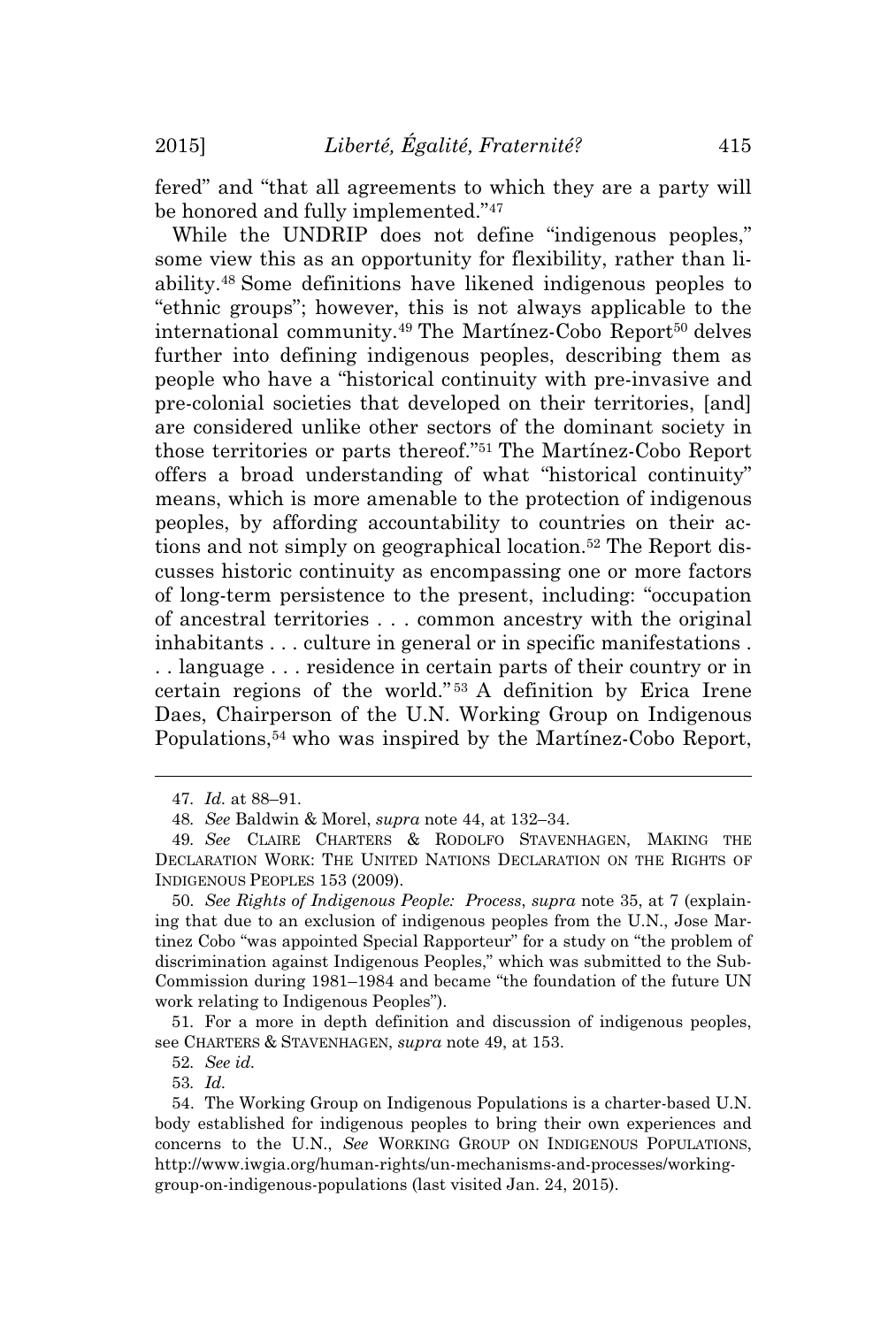fered" and "that all agreements to which they are a party will be honored and fully implemented."<sup>47</sup>

While the UNDRIP does not define "indigenous peoples," some view this as an opportunity for flexibility, rather than liability.<sup>48</sup> Some definitions have likened indigenous peoples to "ethnic groups"; however, this is not always applicable to the international community.<sup>49</sup> The Martínez-Cobo Report<sup>50</sup> delves further into defining indigenous peoples, describing them as people who have a "historical continuity with pre-invasive and pre-colonial societies that developed on their territories, [and] are considered unlike other sectors of the dominant society in those territories or parts thereof." <sup>51</sup> The Martínez-Cobo Report offers a broad understanding of what "historical continuity" means, which is more amenable to the protection of indigenous peoples, by affording accountability to countries on their actions and not simply on geographical location.<sup>52</sup> The Report discusses historic continuity as encompassing one or more factors of long-term persistence to the present, including: "occupation of ancestral territories . . . common ancestry with the original inhabitants . . . culture in general or in specific manifestations . . . language . . . residence in certain parts of their country or in certain regions of the world." <sup>53</sup> A definition by Erica Irene Daes, Chairperson of the U.N. Working Group on Indigenous Populations,<sup>54</sup> who was inspired by the Martínez-Cobo Report,

52*. See id.*

53*. Id.*

<sup>47</sup>*. Id.* at 88–91.

<sup>48</sup>*. See* Baldwin & Morel, *supra* note 44, at 132–34.

<sup>49</sup>*. See* CLAIRE CHARTERS & RODOLFO STAVENHAGEN, MAKING THE DECLARATION WORK: THE UNITED NATIONS DECLARATION ON THE RIGHTS OF INDIGENOUS PEOPLES 153 (2009).

<sup>50</sup>*. See Rights of Indigenous People: Process*, *supra* note 35, at 7 (explaining that due to an exclusion of indigenous peoples from the U.N., Jose Martinez Cobo "was appointed Special Rapporteur" for a study on "the problem of discrimination against Indigenous Peoples," which was submitted to the Sub-Commission during 1981–1984 and became "the foundation of the future UN work relating to Indigenous Peoples").

<sup>51</sup>*.* For a more in depth definition and discussion of indigenous peoples, see CHARTERS & STAVENHAGEN, *supra* note 49, at 153.

<sup>54.</sup> The Working Group on Indigenous Populations is a charter-based U.N. body established for indigenous peoples to bring their own experiences and concerns to the U.N., *See* WORKING GROUP ON INDIGENOUS POPULATIONS, http://www.iwgia.org/human-rights/un-mechanisms-and-processes/workinggroup-on-indigenous-populations (last visited Jan. 24, 2015).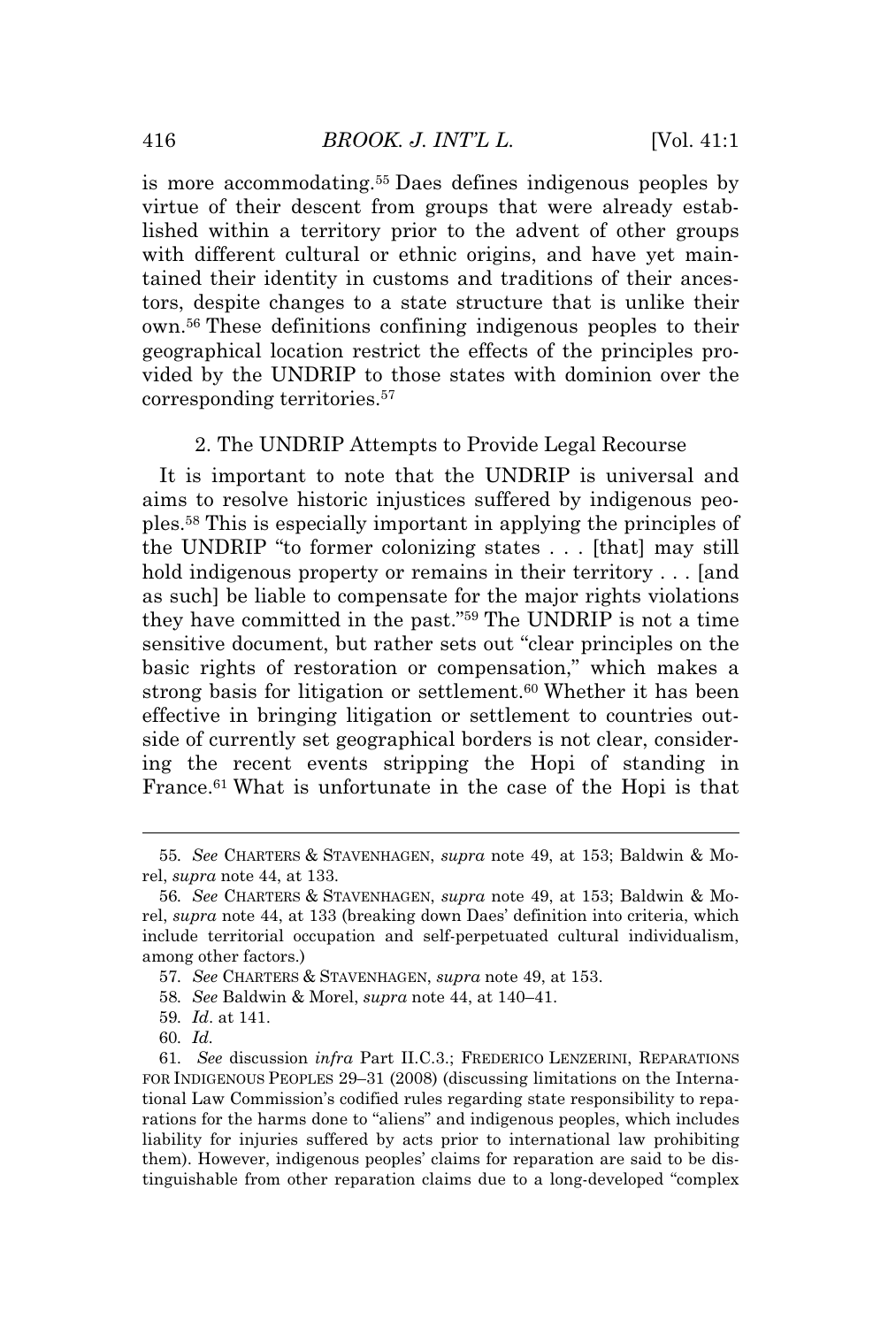is more accommodating.<sup>55</sup> Daes defines indigenous peoples by virtue of their descent from groups that were already established within a territory prior to the advent of other groups with different cultural or ethnic origins, and have yet maintained their identity in customs and traditions of their ancestors, despite changes to a state structure that is unlike their own.<sup>56</sup> These definitions confining indigenous peoples to their geographical location restrict the effects of the principles provided by the UNDRIP to those states with dominion over the corresponding territories.<sup>57</sup>

#### 2. The UNDRIP Attempts to Provide Legal Recourse

It is important to note that the UNDRIP is universal and aims to resolve historic injustices suffered by indigenous peoples.<sup>58</sup> This is especially important in applying the principles of the UNDRIP "to former colonizing states . . . [that] may still hold indigenous property or remains in their territory . . . [and as such] be liable to compensate for the major rights violations they have committed in the past." <sup>59</sup> The UNDRIP is not a time sensitive document, but rather sets out "clear principles on the basic rights of restoration or compensation," which makes a strong basis for litigation or settlement.<sup>60</sup> Whether it has been effective in bringing litigation or settlement to countries outside of currently set geographical borders is not clear, considering the recent events stripping the Hopi of standing in France.<sup>61</sup> What is unfortunate in the case of the Hopi is that

- 58*. See* Baldwin & Morel, *supra* note 44, at 140–41.
- 59*. Id*. at 141.

<sup>55</sup>*. See* CHARTERS & STAVENHAGEN, *supra* note 49, at 153; Baldwin & Morel, *supra* note 44, at 133.

<sup>56</sup>*. See* CHARTERS & STAVENHAGEN, *supra* note 49, at 153; Baldwin & Morel, *supra* note 44, at 133 (breaking down Daes' definition into criteria, which include territorial occupation and self-perpetuated cultural individualism, among other factors.)

<sup>57</sup>*. See* CHARTERS & STAVENHAGEN, *supra* note 49, at 153.

<sup>60</sup>*. Id.*

<sup>61</sup>*. See* discussion *infra* Part II.C.3.; FREDERICO LENZERINI, REPARATIONS FOR INDIGENOUS PEOPLES 29–31 (2008) (discussing limitations on the International Law Commission's codified rules regarding state responsibility to reparations for the harms done to "aliens" and indigenous peoples, which includes liability for injuries suffered by acts prior to international law prohibiting them). However, indigenous peoples' claims for reparation are said to be distinguishable from other reparation claims due to a long-developed "complex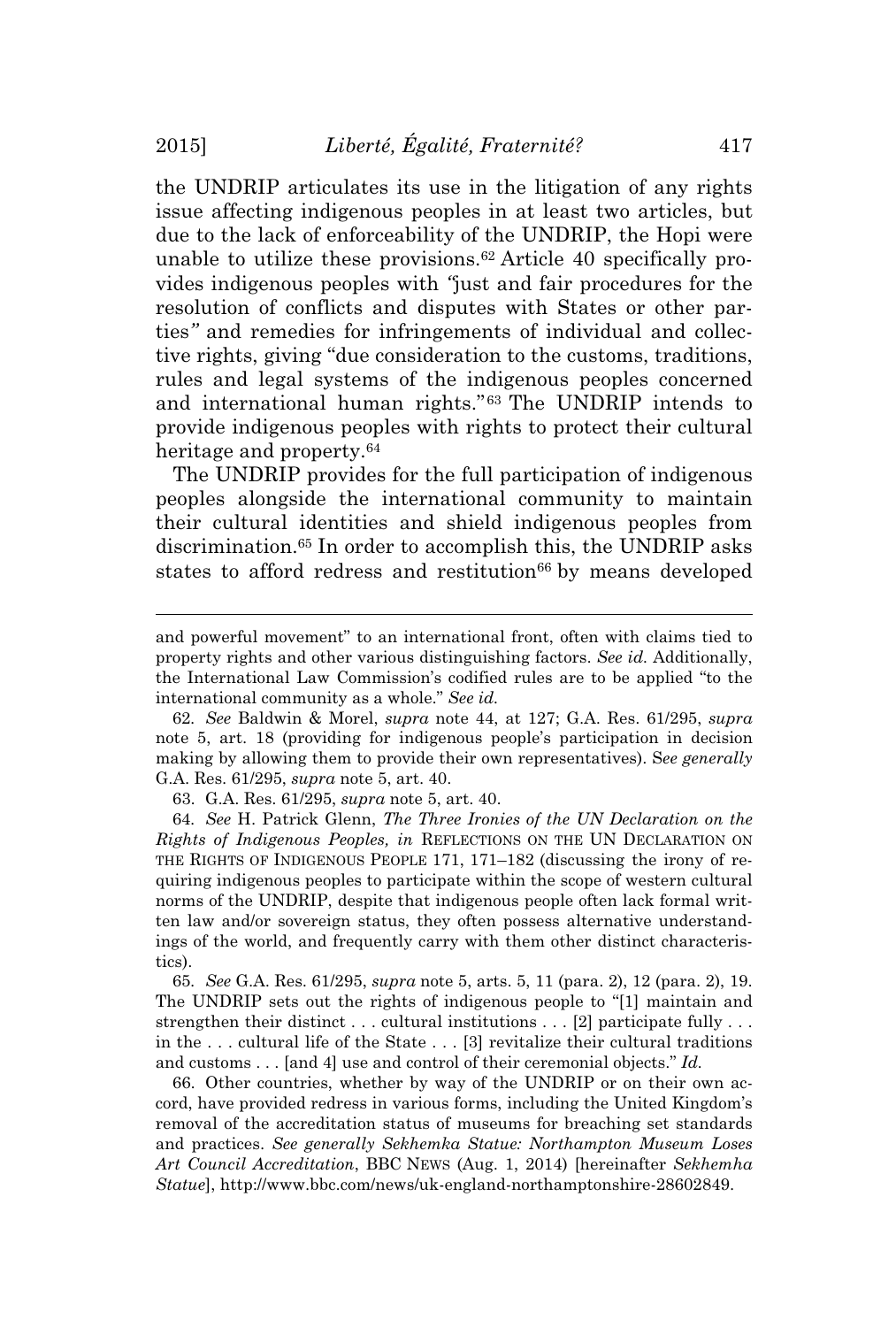the UNDRIP articulates its use in the litigation of any rights issue affecting indigenous peoples in at least two articles, but due to the lack of enforceability of the UNDRIP, the Hopi were unable to utilize these provisions.<sup>62</sup> Article 40 specifically provides indigenous peoples with *"*just and fair procedures for the resolution of conflicts and disputes with States or other parties*"* and remedies for infringements of individual and collective rights, giving "due consideration to the customs, traditions, rules and legal systems of the indigenous peoples concerned and international human rights." <sup>63</sup> The UNDRIP intends to provide indigenous peoples with rights to protect their cultural heritage and property.<sup>64</sup>

The UNDRIP provides for the full participation of indigenous peoples alongside the international community to maintain their cultural identities and shield indigenous peoples from discrimination.<sup>65</sup> In order to accomplish this, the UNDRIP asks states to afford redress and restitution<sup>66</sup> by means developed

63. G.A. Res. 61/295, *supra* note 5, art. 40.

64*. See* H. Patrick Glenn, *The Three Ironies of the UN Declaration on the Rights of Indigenous Peoples, in* REFLECTIONS ON THE UN DECLARATION ON THE RIGHTS OF INDIGENOUS PEOPLE 171, 171–182 (discussing the irony of requiring indigenous peoples to participate within the scope of western cultural norms of the UNDRIP, despite that indigenous people often lack formal written law and/or sovereign status, they often possess alternative understandings of the world, and frequently carry with them other distinct characteristics).

65*. See* G.A. Res. 61/295, *supra* note 5, arts. 5, 11 (para. 2), 12 (para. 2), 19. The UNDRIP sets out the rights of indigenous people to "[1] maintain and strengthen their distinct . . . cultural institutions . . . [2] participate fully . . . in the . . . cultural life of the State . . . [3] revitalize their cultural traditions and customs . . . [and 4] use and control of their ceremonial objects." *Id.*

66. Other countries, whether by way of the UNDRIP or on their own accord, have provided redress in various forms, including the United Kingdom's removal of the accreditation status of museums for breaching set standards and practices. *See generally Sekhemka Statue: Northampton Museum Loses Art Council Accreditation*, BBC NEWS (Aug. 1, 2014) [hereinafter *Sekhemha Statue*], http://www.bbc.com/news/uk-england-northamptonshire-28602849.

and powerful movement" to an international front, often with claims tied to property rights and other various distinguishing factors. *See id.* Additionally, the International Law Commission's codified rules are to be applied "to the international community as a whole." *See id.*

<sup>62</sup>*. See* Baldwin & Morel, *supra* note 44, at 127; G.A. Res. 61/295, *supra* note 5, art. 18 (providing for indigenous people's participation in decision making by allowing them to provide their own representatives). S*ee generally* G.A. Res. 61/295, *supra* note 5, art. 40.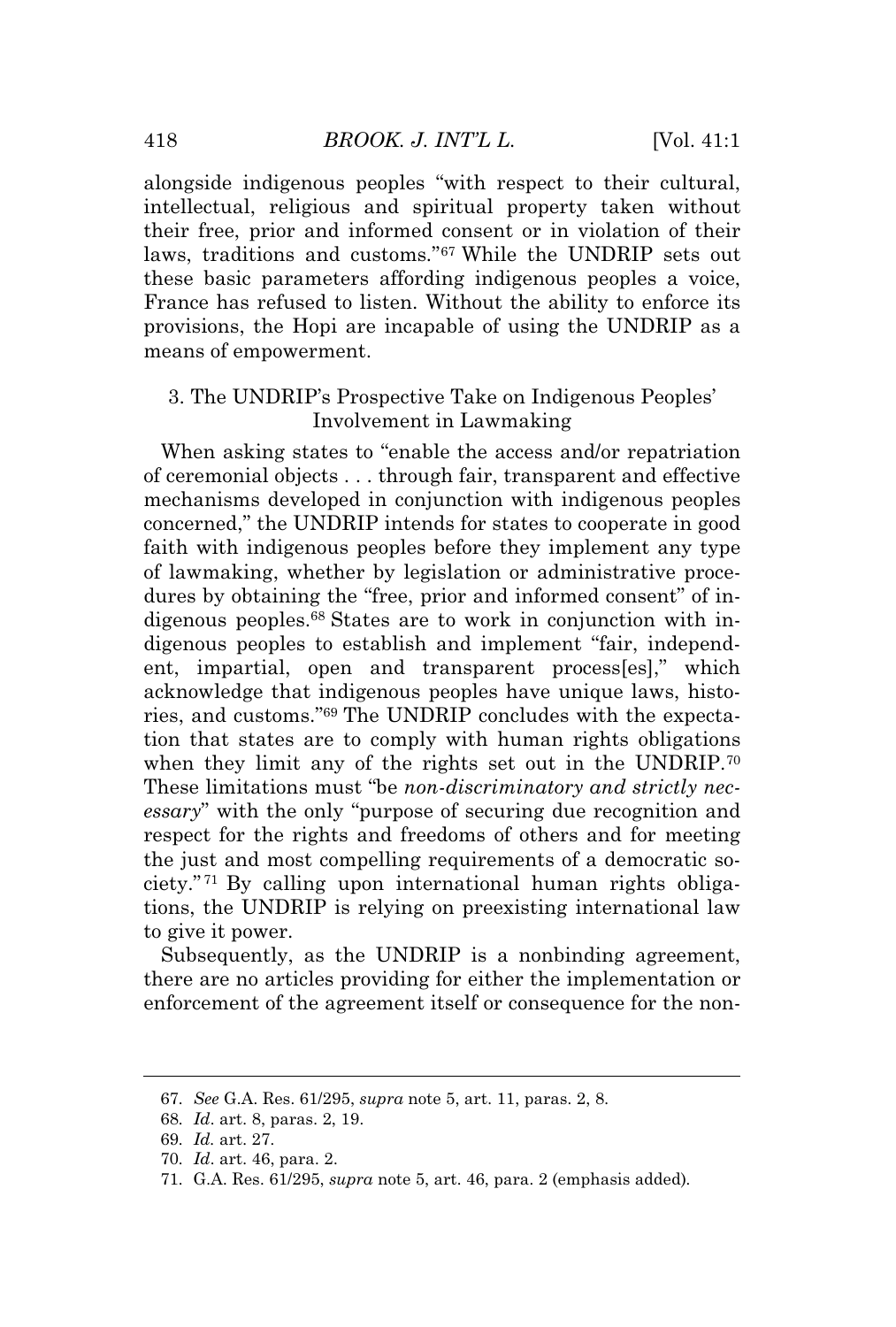alongside indigenous peoples "with respect to their cultural, intellectual, religious and spiritual property taken without their free, prior and informed consent or in violation of their laws, traditions and customs*.*" <sup>67</sup> While the UNDRIP sets out these basic parameters affording indigenous peoples a voice, France has refused to listen. Without the ability to enforce its provisions, the Hopi are incapable of using the UNDRIP as a means of empowerment.

# 3. The UNDRIP's Prospective Take on Indigenous Peoples' Involvement in Lawmaking

When asking states to "enable the access and/or repatriation of ceremonial objects . . . through fair, transparent and effective mechanisms developed in conjunction with indigenous peoples concerned," the UNDRIP intends for states to cooperate in good faith with indigenous peoples before they implement any type of lawmaking, whether by legislation or administrative procedures by obtaining the "free, prior and informed consent" of indigenous peoples.<sup>68</sup> States are to work in conjunction with indigenous peoples to establish and implement "fair, independent, impartial, open and transparent process[es]," which acknowledge that indigenous peoples have unique laws, histories, and customs." <sup>69</sup> The UNDRIP concludes with the expectation that states are to comply with human rights obligations when they limit any of the rights set out in the UNDRIP.<sup>70</sup> These limitations must "be *non-discriminatory and strictly necessary*" with the only "purpose of securing due recognition and respect for the rights and freedoms of others and for meeting the just and most compelling requirements of a democratic society." <sup>71</sup> By calling upon international human rights obligations, the UNDRIP is relying on preexisting international law to give it power.

Subsequently, as the UNDRIP is a nonbinding agreement, there are no articles providing for either the implementation or enforcement of the agreement itself or consequence for the non-

<sup>67</sup>*. See* G.A. Res. 61/295, *supra* note 5, art. 11, paras. 2, 8.

<sup>68</sup>*. Id*. art. 8, paras. 2, 19.

<sup>69</sup>*. Id.* art. 27.

<sup>70</sup>*. Id*. art. 46, para. 2.

<sup>71</sup>*.* G.A. Res. 61/295, *supra* note 5, art. 46, para. 2 (emphasis added)*.*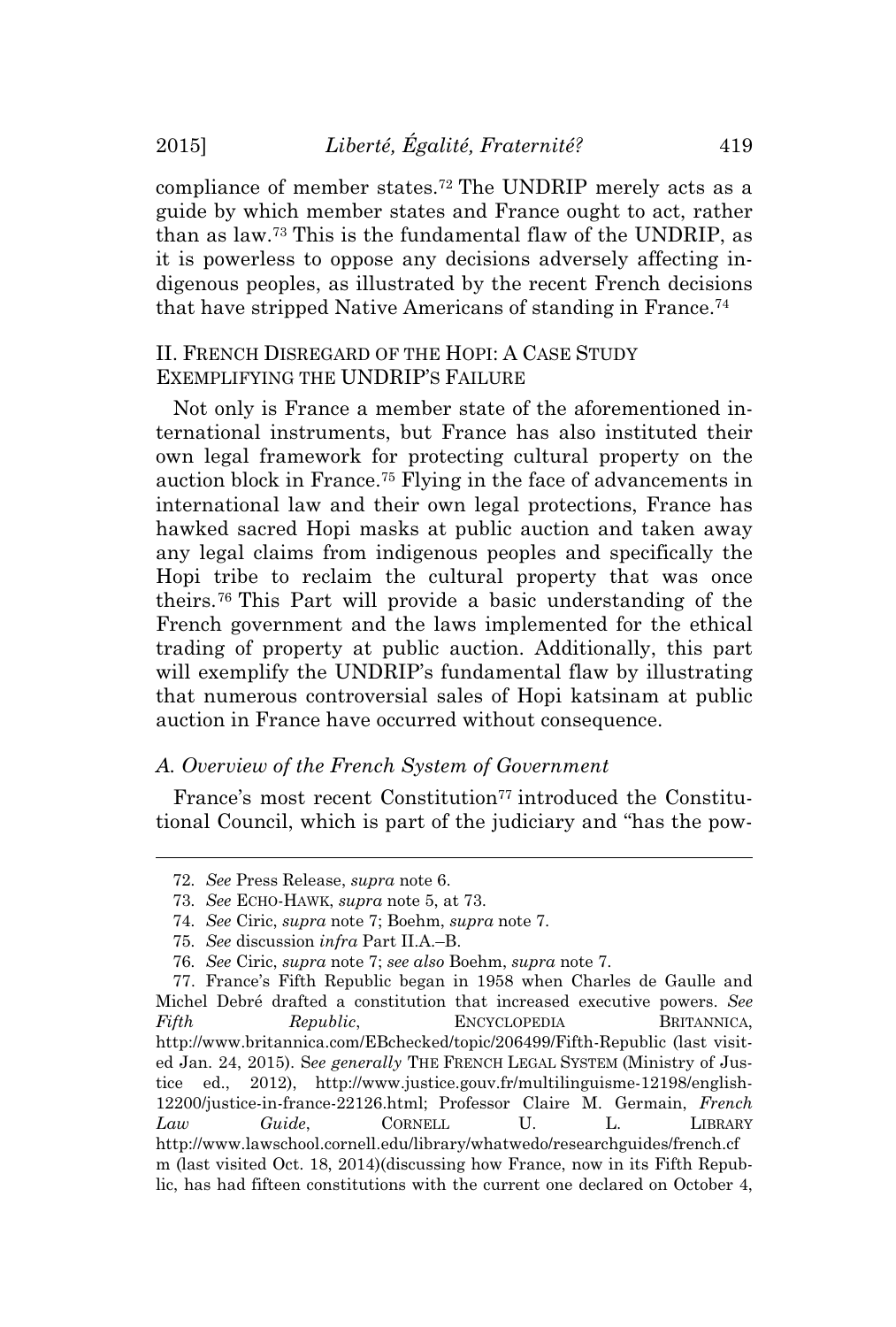compliance of member states.<sup>72</sup> The UNDRIP merely acts as a guide by which member states and France ought to act, rather than as law.<sup>73</sup> This is the fundamental flaw of the UNDRIP, as it is powerless to oppose any decisions adversely affecting indigenous peoples, as illustrated by the recent French decisions that have stripped Native Americans of standing in France.<sup>74</sup>

# II. FRENCH DISREGARD OF THE HOPI: A CASE STUDY EXEMPLIFYING THE UNDRIP'<sup>S</sup> FAILURE

Not only is France a member state of the aforementioned international instruments, but France has also instituted their own legal framework for protecting cultural property on the auction block in France.<sup>75</sup> Flying in the face of advancements in international law and their own legal protections, France has hawked sacred Hopi masks at public auction and taken away any legal claims from indigenous peoples and specifically the Hopi tribe to reclaim the cultural property that was once theirs.<sup>76</sup> This Part will provide a basic understanding of the French government and the laws implemented for the ethical trading of property at public auction. Additionally, this part will exemplify the UNDRIP's fundamental flaw by illustrating that numerous controversial sales of Hopi katsinam at public auction in France have occurred without consequence.

#### *A. Overview of the French System of Government*

France's most recent Constitution<sup>77</sup> introduced the Constitutional Council, which is part of the judiciary and "has the pow-

<sup>72</sup>*. See* Press Release, *supra* note 6.

<sup>73</sup>*. See* ECHO-HAWK, *supra* note 5, at 73.

<sup>74</sup>*. See* Ciric, *supra* note 7; Boehm, *supra* note 7.

<sup>75</sup>*. See* discussion *infra* Part II.A.–B.

<sup>76</sup>*. See* Ciric, *supra* note 7; *see also* Boehm, *supra* note 7.

<sup>77.</sup> France's Fifth Republic began in 1958 when Charles de Gaulle and Michel Debré drafted a constitution that increased executive powers. *See Fifth Republic*, ENCYCLOPEDIA BRITANNICA, http://www.britannica.com/EBchecked/topic/206499/Fifth-Republic (last visited Jan. 24, 2015). S*ee generally* THE FRENCH LEGAL SYSTEM (Ministry of Justice ed., 2012), http://www.justice.gouv.fr/multilinguisme-12198/english-12200/justice-in-france-22126.html; Professor Claire M. Germain, *French Law Guide*, CORNELL U. L. LIBRARY http://www.lawschool.cornell.edu/library/whatwedo/researchguides/french.cf m (last visited Oct. 18, 2014)(discussing how France, now in its Fifth Republic, has had fifteen constitutions with the current one declared on October 4,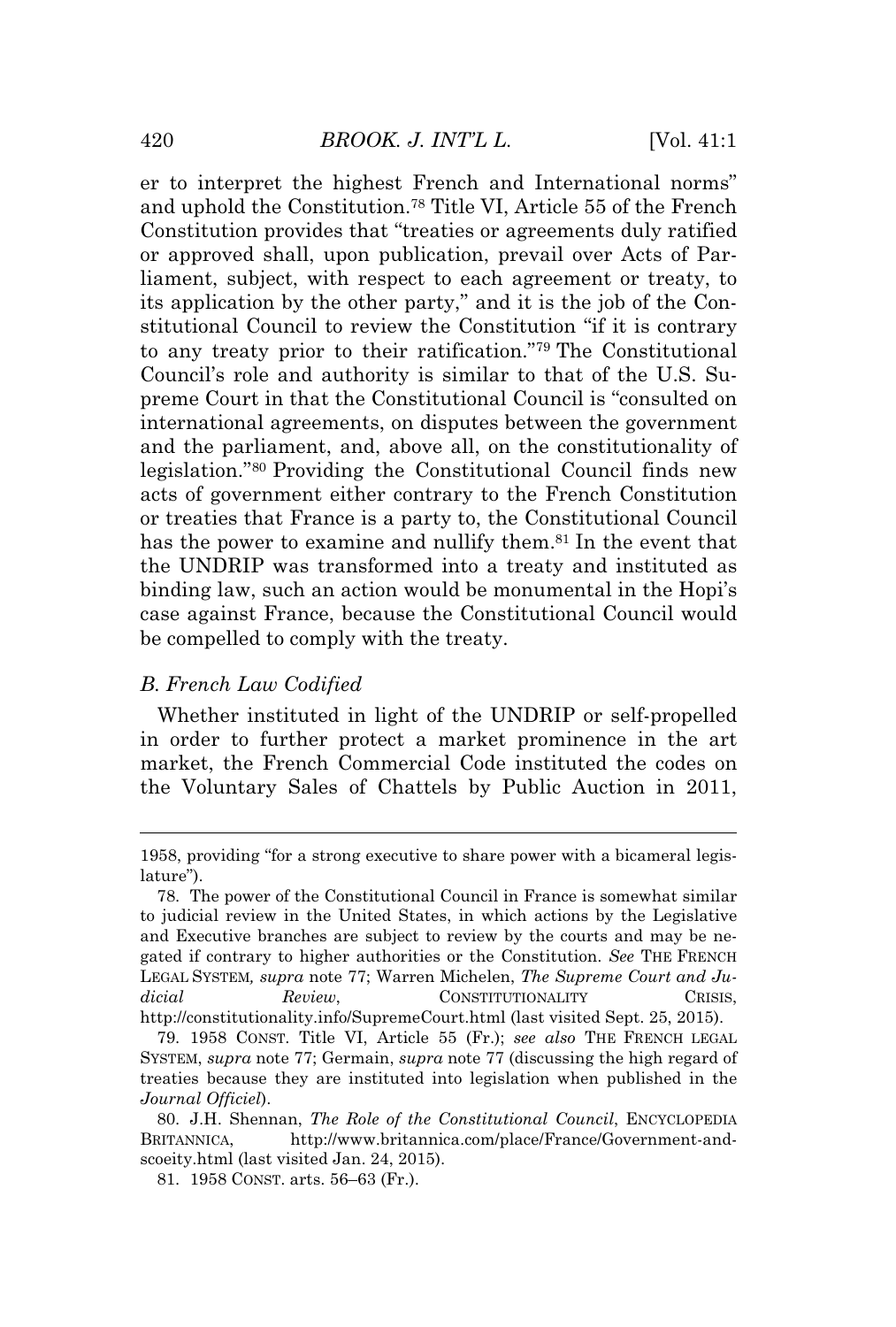er to interpret the highest French and International norms" and uphold the Constitution.<sup>78</sup> Title VI, Article 55 of the French Constitution provides that "treaties or agreements duly ratified or approved shall, upon publication, prevail over Acts of Parliament, subject, with respect to each agreement or treaty, to its application by the other party," and it is the job of the Constitutional Council to review the Constitution "if it is contrary to any treaty prior to their ratification." <sup>79</sup> The Constitutional Council's role and authority is similar to that of the U.S. Supreme Court in that the Constitutional Council is "consulted on international agreements, on disputes between the government and the parliament, and, above all, on the constitutionality of legislation." <sup>80</sup> Providing the Constitutional Council finds new acts of government either contrary to the French Constitution or treaties that France is a party to, the Constitutional Council has the power to examine and nullify them.<sup>81</sup> In the event that the UNDRIP was transformed into a treaty and instituted as binding law, such an action would be monumental in the Hopi's case against France, because the Constitutional Council would be compelled to comply with the treaty.

# *B. French Law Codified*

Whether instituted in light of the UNDRIP or self-propelled in order to further protect a market prominence in the art market, the French Commercial Code instituted the codes on the Voluntary Sales of Chattels by Public Auction in 2011,

<sup>1958,</sup> providing "for a strong executive to share power with a bicameral legislature").

<sup>78.</sup> The power of the Constitutional Council in France is somewhat similar to judicial review in the United States, in which actions by the Legislative and Executive branches are subject to review by the courts and may be negated if contrary to higher authorities or the Constitution. *See* THE FRENCH LEGAL SYSTEM*, supra* note 77; Warren Michelen, *The Supreme Court and Judicial Review*, CONSTITUTIONALITY CRISIS, http://constitutionality.info/SupremeCourt.html (last visited Sept. 25, 2015).

<sup>79. 1958</sup> CONST. Title VI, Article 55 (Fr.); *see also* THE FRENCH LEGAL SYSTEM, *supra* note 77; Germain, *supra* note 77 (discussing the high regard of treaties because they are instituted into legislation when published in the *Journal Officiel*).

<sup>80.</sup> J.H. Shennan, *The Role of the Constitutional Council*, ENCYCLOPEDIA BRITANNICA, http://www.britannica.com/place/France/Government-andscoeity.html (last visited Jan. 24, 2015).

<sup>81. 1958</sup> CONST. arts. 56–63 (Fr.).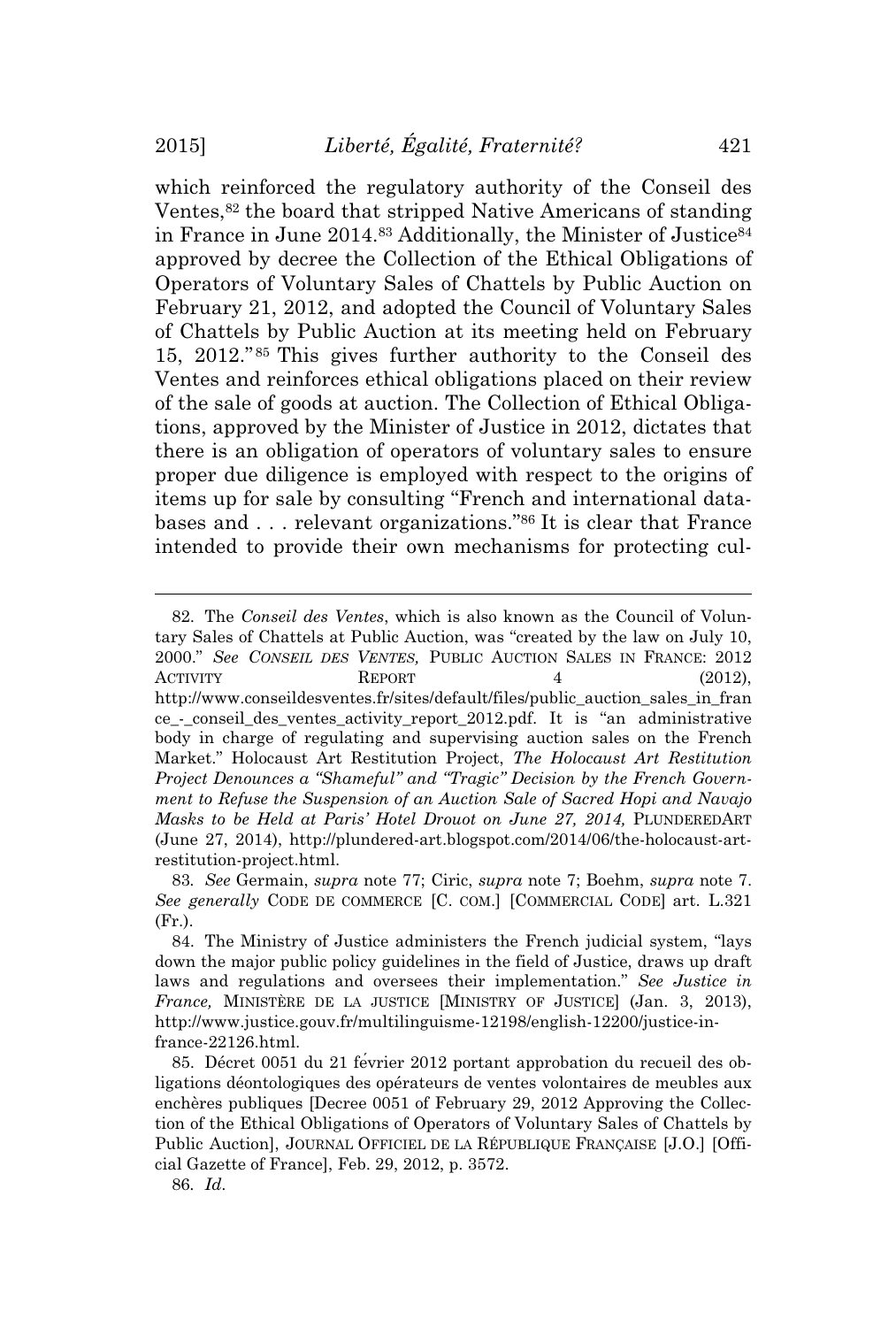which reinforced the regulatory authority of the Conseil des Ventes,<sup>82</sup> the board that stripped Native Americans of standing in France in June 2014.<sup>83</sup> Additionally, the Minister of Justice<sup>84</sup> approved by decree the Collection of the Ethical Obligations of Operators of Voluntary Sales of Chattels by Public Auction on February 21, 2012, and adopted the Council of Voluntary Sales of Chattels by Public Auction at its meeting held on February 15, 2012." <sup>85</sup> This gives further authority to the Conseil des Ventes and reinforces ethical obligations placed on their review of the sale of goods at auction. The Collection of Ethical Obligations, approved by the Minister of Justice in 2012, dictates that there is an obligation of operators of voluntary sales to ensure proper due diligence is employed with respect to the origins of items up for sale by consulting "French and international databases and . . . relevant organizations." <sup>86</sup> It is clear that France intended to provide their own mechanisms for protecting cul-

<sup>82.</sup> The *Conseil des Ventes*, which is also known as the Council of Voluntary Sales of Chattels at Public Auction, was "created by the law on July 10, 2000." *See CONSEIL DES VENTES,* PUBLIC AUCTION SALES IN FRANCE: 2012 ACTIVITY REPORT 4 (2012). http://www.conseildesventes.fr/sites/default/files/public\_auction\_sales\_in\_fran ce\_-\_conseil\_des\_ventes\_activity\_report\_2012.pdf. It is "an administrative body in charge of regulating and supervising auction sales on the French Market." Holocaust Art Restitution Project, *The Holocaust Art Restitution Project Denounces a "Shameful" and "Tragic" Decision by the French Government to Refuse the Suspension of an Auction Sale of Sacred Hopi and Navajo Masks to be Held at Paris' Hotel Drouot on June 27, 2014,* PLUNDEREDART (June 27, 2014), http://plundered-art.blogspot.com/2014/06/the-holocaust-artrestitution-project.html.

<sup>83</sup>*. See* Germain, *supra* note 77; Ciric, *supra* note 7; Boehm, *supra* note 7. *See generally* CODE DE COMMERCE [C. COM.] [COMMERCIAL CODE] art. L.321 (Fr.).

<sup>84.</sup> The Ministry of Justice administers the French judicial system, "lays down the major public policy guidelines in the field of Justice, draws up draft laws and regulations and oversees their implementation." *See Justice in France,* MINISTÈRE DE LA JUSTICE [MINISTRY OF JUSTICE] (Jan. 3, 2013), http://www.justice.gouv.fr/multilinguisme-12198/english-12200/justice-infrance-22126.html.

<sup>85.</sup> Décret 0051 du 21 février 2012 portant approbation du recueil des obligations déontologiques des opérateurs de ventes volontaires de meubles aux enchères publiques [Decree 0051 of February 29, 2012 Approving the Collection of the Ethical Obligations of Operators of Voluntary Sales of Chattels by Public Auction], JOURNAL OFFICIEL DE LA RÉPUBLIQUE FRANÇAISE [J.O.] [Official Gazette of France], Feb. 29, 2012, p. 3572.

<sup>86</sup>*. Id*.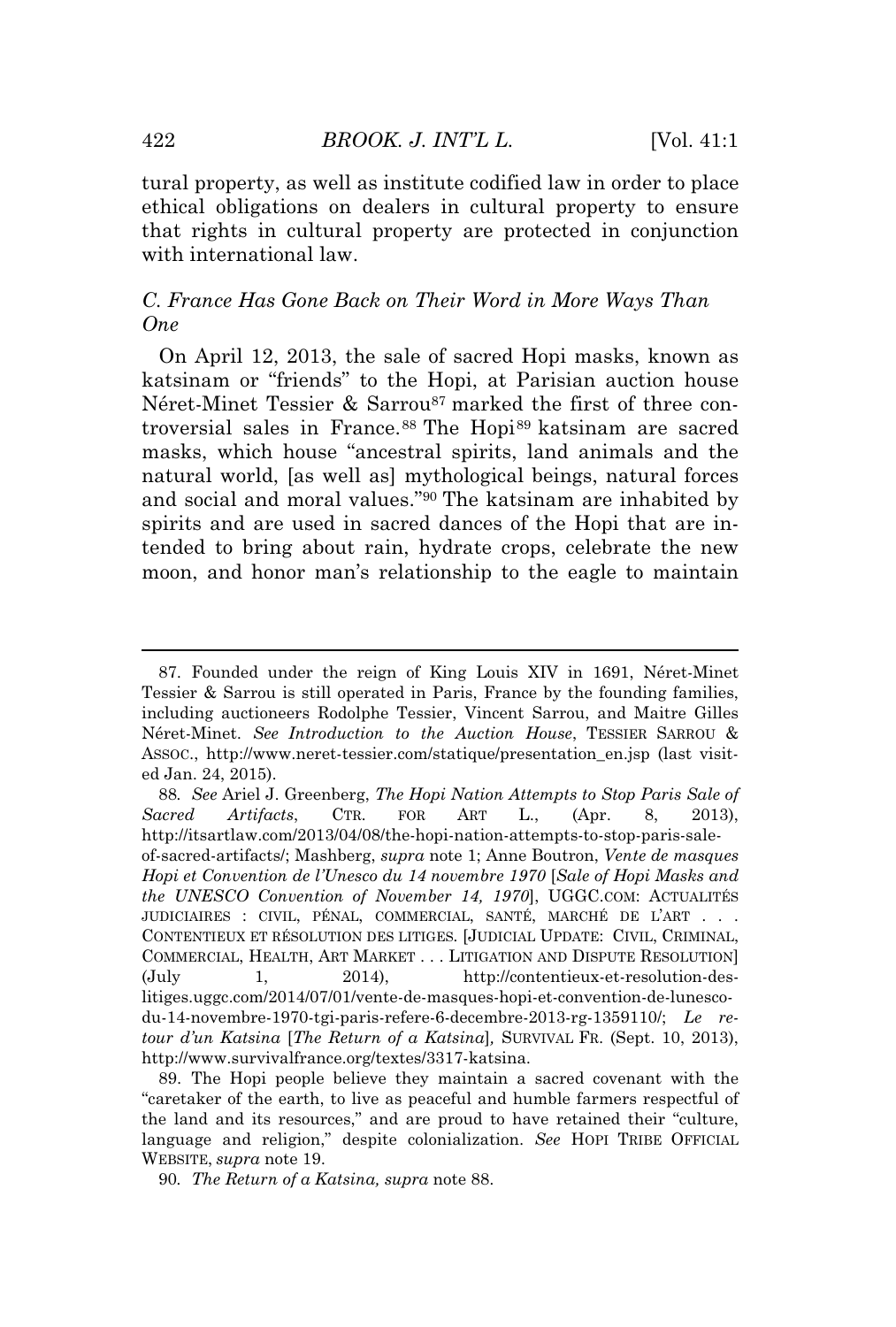tural property, as well as institute codified law in order to place ethical obligations on dealers in cultural property to ensure that rights in cultural property are protected in conjunction with international law.

# *C. France Has Gone Back on Their Word in More Ways Than One*

On April 12, 2013, the sale of sacred Hopi masks, known as katsinam or "friends" to the Hopi, at Parisian auction house Néret-Minet Tessier & Sarrou<sup>87</sup> marked the first of three controversial sales in France.<sup>88</sup> The Hopi<sup>89</sup> katsinam are sacred masks, which house "ancestral spirits, land animals and the natural world, [as well as] mythological beings, natural forces and social and moral values." <sup>90</sup> The katsinam are inhabited by spirits and are used in sacred dances of the Hopi that are intended to bring about rain, hydrate crops, celebrate the new moon, and honor man's relationship to the eagle to maintain

88*. See* Ariel J. Greenberg, *The Hopi Nation Attempts to Stop Paris Sale of Sacred Artifacts*, CTR. FOR ART L., (Apr. 8, 2013), http://itsartlaw.com/2013/04/08/the-hopi-nation-attempts-to-stop-paris-saleof-sacred-artifacts/; Mashberg, *supra* note 1; Anne Boutron, *Vente de masques Hopi et Convention de l'Unesco du 14 novembre 1970* [*Sale of Hopi Masks and the UNESCO Convention of November 14, 1970*], UGGC.COM: ACTUALITÉS JUDICIAIRES : CIVIL, PÉNAL, COMMERCIAL, SANTÉ, MARCHÉ DE L'ART . . . CONTENTIEUX ET RÉSOLUTION DES LITIGES*.* [JUDICIAL UPDATE: CIVIL, CRIMINAL, COMMERCIAL, HEALTH, ART MARKET . . . LITIGATION AND DISPUTE RESOLUTION] (July 1, 2014), http://contentieux-et-resolution-deslitiges.uggc.com/2014/07/01/vente-de-masques-hopi-et-convention-de-lunescodu-14-novembre-1970-tgi-paris-refere-6-decembre-2013-rg-1359110/; *Le retour d'un Katsina* [*The Return of a Katsina*]*,* SURVIVAL FR. (Sept. 10, 2013), http://www.survivalfrance.org/textes/3317-katsina.

89. The Hopi people believe they maintain a sacred covenant with the "caretaker of the earth, to live as peaceful and humble farmers respectful of the land and its resources," and are proud to have retained their "culture, language and religion," despite colonialization. *See* HOPI TRIBE OFFICIAL WEBSITE, *supra* note 19.

<sup>87.</sup> Founded under the reign of King Louis XIV in 1691, Néret-Minet Tessier & Sarrou is still operated in Paris, France by the founding families, including auctioneers Rodolphe Tessier, Vincent Sarrou, and Maitre Gilles Néret-Minet. *See Introduction to the Auction House*, TESSIER SARROU & ASSOC., http://www.neret-tessier.com/statique/presentation\_en.jsp (last visited Jan. 24, 2015).

<sup>90</sup>*. The Return of a Katsina, supra* note 88.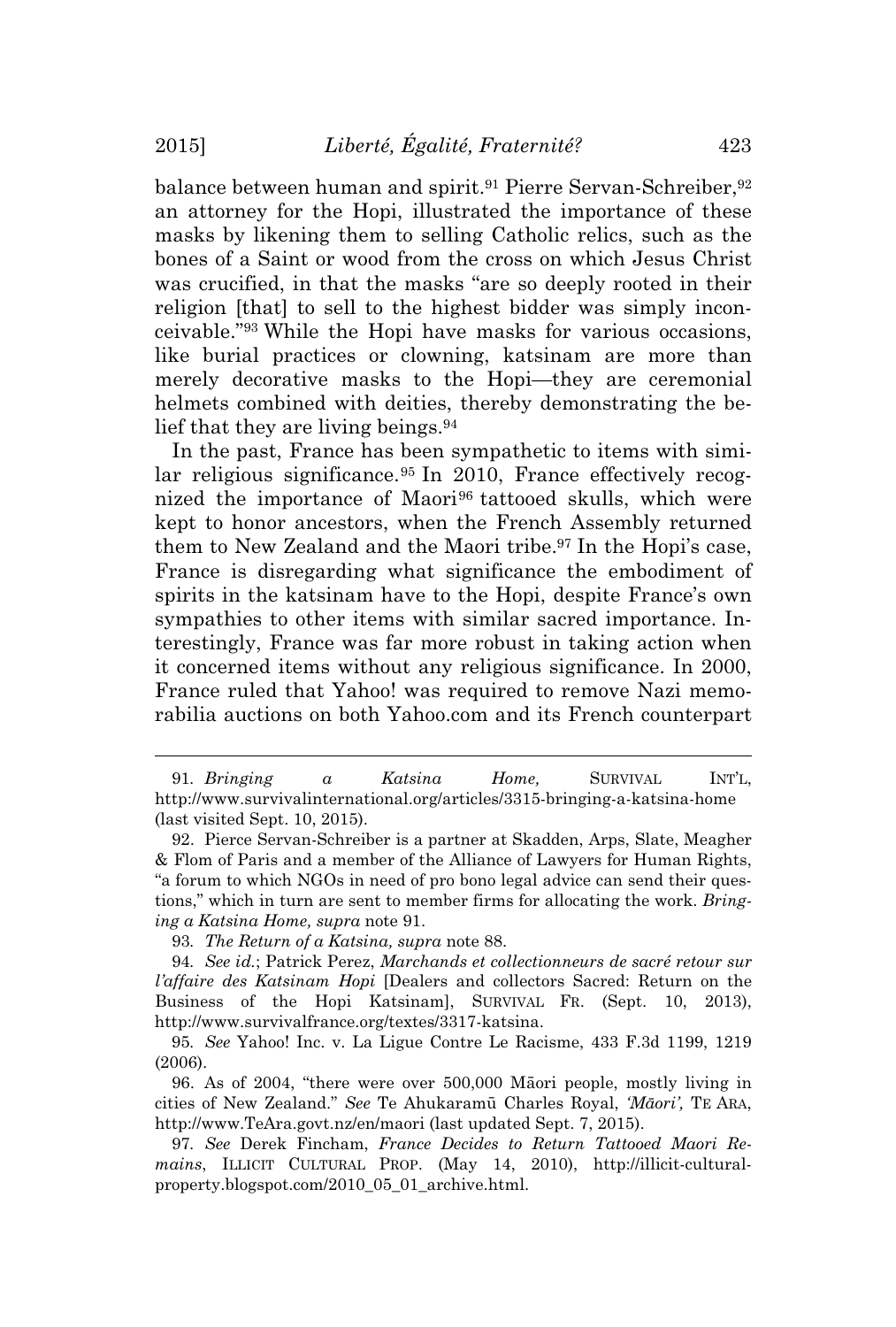balance between human and spirit.<sup>91</sup> Pierre Servan-Schreiber, <sup>92</sup> an attorney for the Hopi, illustrated the importance of these masks by likening them to selling Catholic relics, such as the bones of a Saint or wood from the cross on which Jesus Christ was crucified, in that the masks "are so deeply rooted in their religion [that] to sell to the highest bidder was simply inconceivable." <sup>93</sup> While the Hopi have masks for various occasions, like burial practices or clowning, katsinam are more than merely decorative masks to the Hopi—they are ceremonial helmets combined with deities, thereby demonstrating the belief that they are living beings.<sup>94</sup>

In the past, France has been sympathetic to items with similar religious significance.<sup>95</sup> In 2010, France effectively recognized the importance of Maori<sup>96</sup> tattooed skulls, which were kept to honor ancestors, when the French Assembly returned them to New Zealand and the Maori tribe.<sup>97</sup> In the Hopi's case, France is disregarding what significance the embodiment of spirits in the katsinam have to the Hopi, despite France's own sympathies to other items with similar sacred importance. Interestingly, France was far more robust in taking action when it concerned items without any religious significance. In 2000, France ruled that Yahoo! was required to remove Nazi memorabilia auctions on both Yahoo.com and its French counterpart

96. As of 2004, "there were over 500,000 Māori people, mostly living in cities of New Zealand." *See* Te Ahukaramū Charles Royal, *'Māori',* T<sup>E</sup> ARA, http://www.TeAra.govt.nz/en/maori (last updated Sept. 7, 2015).

97*. See* Derek Fincham, *France Decides to Return Tattooed Maori Remains*, ILLICIT CULTURAL PROP. (May 14, 2010), http://illicit-culturalproperty.blogspot.com/2010\_05\_01\_archive.html.

<sup>91</sup>*. Bringing a Katsina Home,* SURVIVAL INT'L, http://www.survivalinternational.org/articles/3315-bringing-a-katsina-home (last visited Sept. 10, 2015).

<sup>92.</sup> Pierce Servan-Schreiber is a partner at Skadden, Arps, Slate, Meagher & Flom of Paris and a member of the Alliance of Lawyers for Human Rights, "a forum to which NGOs in need of pro bono legal advice can send their questions," which in turn are sent to member firms for allocating the work. *Bringing a Katsina Home, supra* note 91.

<sup>93</sup>*. The Return of a Katsina, supra* note 88.

<sup>94</sup>*. See id.*; Patrick Perez, *Marchands et collectionneurs de sacré retour sur l'affaire des Katsinam Hopi* [Dealers and collectors Sacred: Return on the Business of the Hopi Katsinam], SURVIVAL FR. (Sept. 10, 2013), http://www.survivalfrance.org/textes/3317-katsina.

<sup>95</sup>*. See* Yahoo! Inc. v. La Ligue Contre Le Racisme, 433 F.3d 1199, 1219 (2006).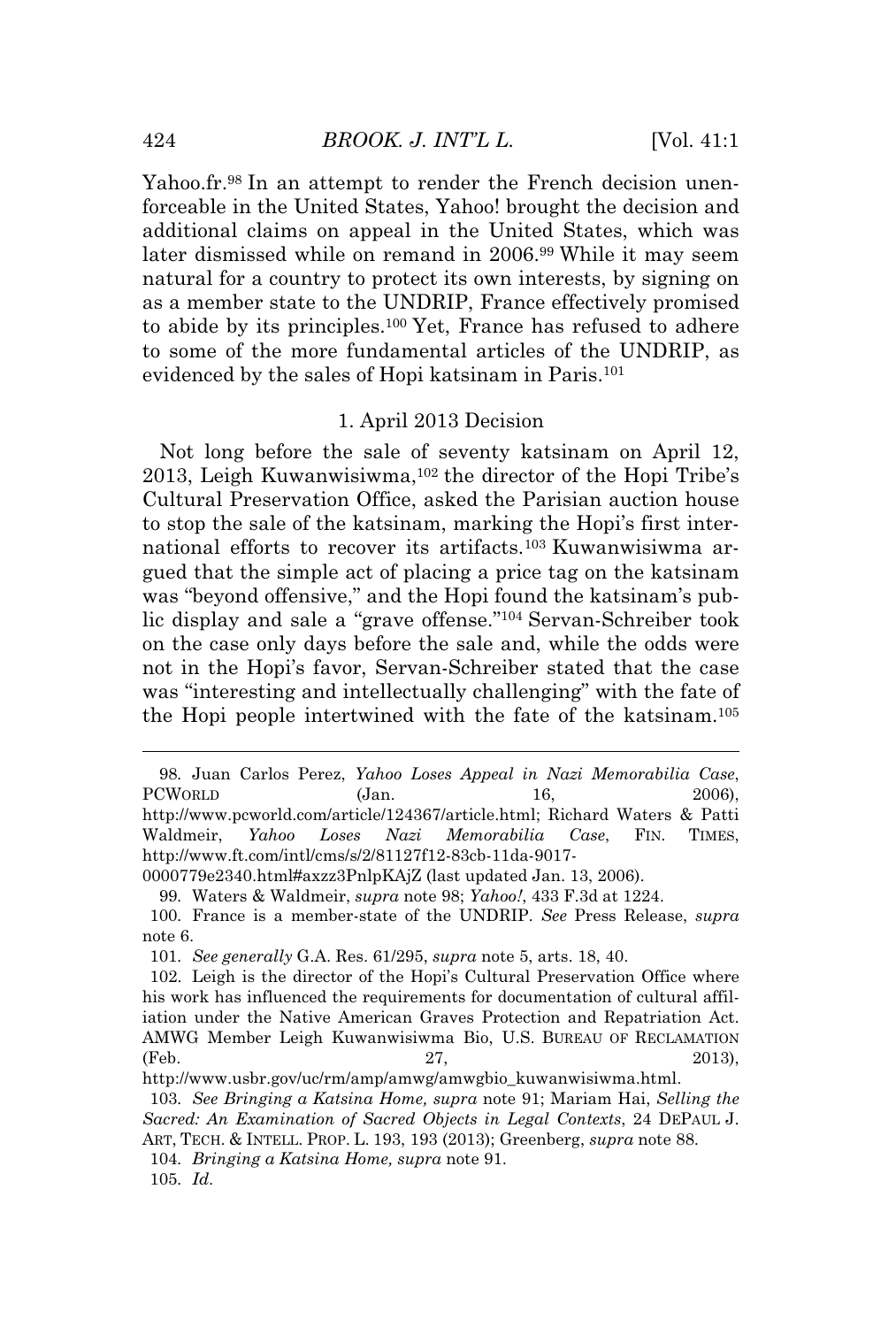Yahoo.fr.<sup>98</sup> In an attempt to render the French decision unenforceable in the United States, Yahoo! brought the decision and additional claims on appeal in the United States, which was later dismissed while on remand in 2006.<sup>99</sup> While it may seem natural for a country to protect its own interests, by signing on as a member state to the UNDRIP, France effectively promised to abide by its principles.<sup>100</sup> Yet, France has refused to adhere to some of the more fundamental articles of the UNDRIP, as evidenced by the sales of Hopi katsinam in Paris.<sup>101</sup>

#### 1. April 2013 Decision

Not long before the sale of seventy katsinam on April 12, 2013, Leigh Kuwanwisiwma, <sup>102</sup> the director of the Hopi Tribe's Cultural Preservation Office, asked the Parisian auction house to stop the sale of the katsinam, marking the Hopi's first international efforts to recover its artifacts.<sup>103</sup> Kuwanwisiwma argued that the simple act of placing a price tag on the katsinam was "beyond offensive," and the Hopi found the katsinam's public display and sale a "grave offense." <sup>104</sup> Servan-Schreiber took on the case only days before the sale and, while the odds were not in the Hopi's favor, Servan-Schreiber stated that the case was "interesting and intellectually challenging" with the fate of the Hopi people intertwined with the fate of the katsinam.<sup>105</sup>

http://www.ft.com/intl/cms/s/2/81127f12-83cb-11da-9017-

0000779e2340.html#axzz3PnlpKAjZ (last updated Jan. 13, 2006).

99*.* Waters & Waldmeir, *supra* note 98; *Yahoo!*, 433 F.3d at 1224.

100*.* France is a member-state of the UNDRIP. *See* Press Release, *supra* note 6.

104*. Bringing a Katsina Home, supra* note 91.

<sup>98</sup>*.* Juan Carlos Perez, *Yahoo Loses Appeal in Nazi Memorabilia Case*, PCWORLD (Jan. 16, 2006), http://www.pcworld.com/article/124367/article.html; Richard Waters & Patti Waldmeir, *Yahoo Loses Nazi Memorabilia Case*, FIN. TIMES,

<sup>101</sup>*. See generally* G.A. Res. 61/295, *supra* note 5, arts. 18, 40.

<sup>102.</sup> Leigh is the director of the Hopi's Cultural Preservation Office where his work has influenced the requirements for documentation of cultural affiliation under the Native American Graves Protection and Repatriation Act. AMWG Member Leigh Kuwanwisiwma Bio, U.S. BUREAU OF RECLAMATION (Feb. 27, 2013),

http://www.usbr.gov/uc/rm/amp/amwg/amwgbio\_kuwanwisiwma.html.

<sup>103</sup>*. See Bringing a Katsina Home, supra* note 91; Mariam Hai, *Selling the Sacred: An Examination of Sacred Objects in Legal Contexts*, 24 DEPAUL J. ART, TECH. & INTELL. PROP. L. 193, 193 (2013); Greenberg, *supra* note 88.

<sup>105</sup>*. Id*.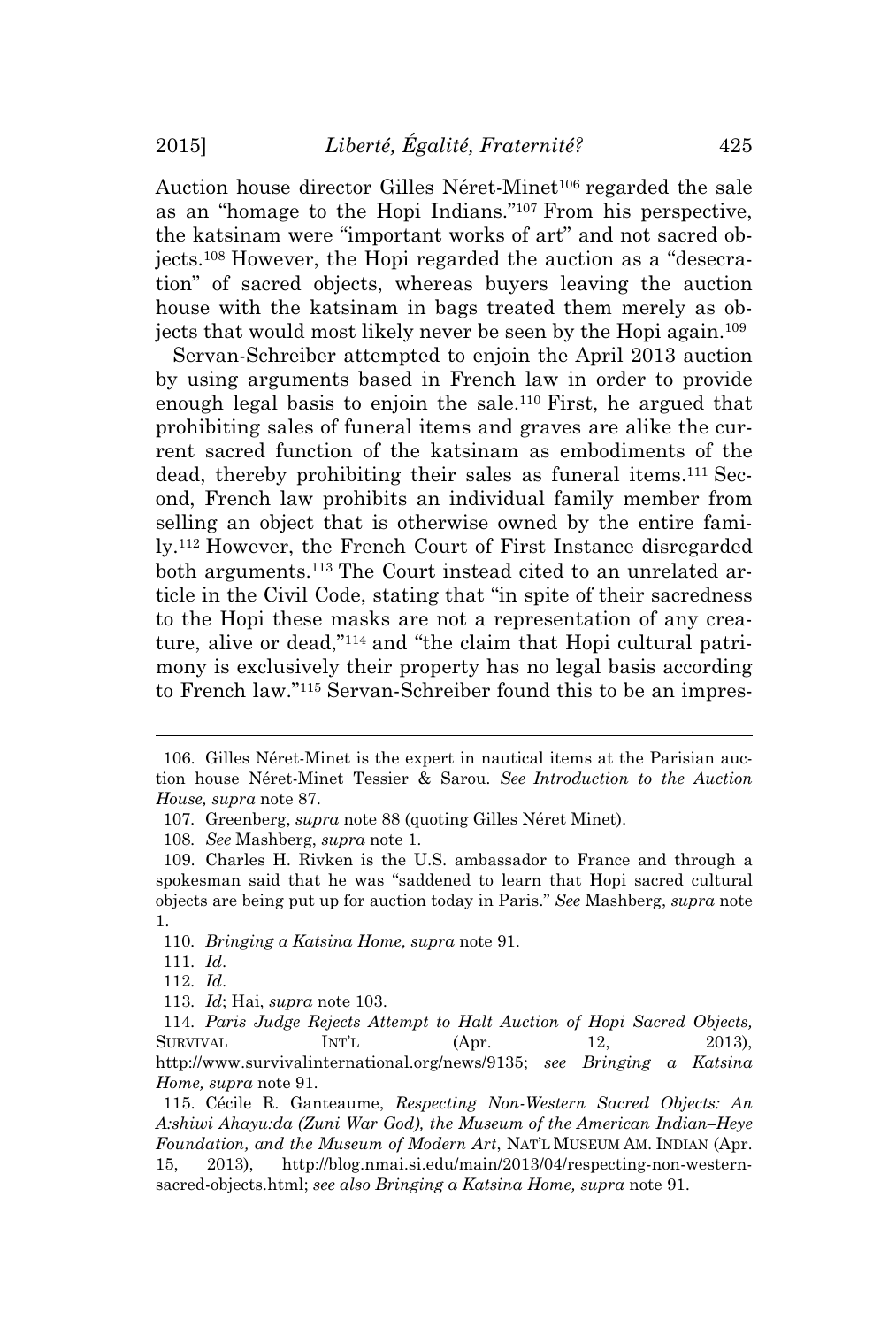Auction house director Gilles Néret-Minet<sup>106</sup> regarded the sale as an "homage to the Hopi Indians." <sup>107</sup> From his perspective, the katsinam were "important works of art" and not sacred objects.<sup>108</sup> However, the Hopi regarded the auction as a "desecration" of sacred objects, whereas buyers leaving the auction house with the katsinam in bags treated them merely as objects that would most likely never be seen by the Hopi again.<sup>109</sup>

Servan-Schreiber attempted to enjoin the April 2013 auction by using arguments based in French law in order to provide enough legal basis to enjoin the sale.<sup>110</sup> First, he argued that prohibiting sales of funeral items and graves are alike the current sacred function of the katsinam as embodiments of the dead, thereby prohibiting their sales as funeral items.<sup>111</sup> Second, French law prohibits an individual family member from selling an object that is otherwise owned by the entire family.<sup>112</sup> However, the French Court of First Instance disregarded both arguments.<sup>113</sup> The Court instead cited to an unrelated article in the Civil Code, stating that "in spite of their sacredness to the Hopi these masks are not a representation of any creature, alive or dead," <sup>114</sup> and "the claim that Hopi cultural patrimony is exclusively their property has no legal basis according to French law." <sup>115</sup> Servan-Schreiber found this to be an impres-

<sup>106.</sup> Gilles Néret-Minet is the expert in nautical items at the Parisian auction house Néret-Minet Tessier & Sarou. *See Introduction to the Auction House, supra* note 87.

<sup>107</sup>*.* Greenberg, *supra* note 88 (quoting Gilles Néret Minet).

<sup>108</sup>*. See* Mashberg, *supra* note 1.

<sup>109.</sup> Charles H. Rivken is the U.S. ambassador to France and through a spokesman said that he was "saddened to learn that Hopi sacred cultural objects are being put up for auction today in Paris." *See* Mashberg, *supra* note 1.

<sup>110</sup>*. Bringing a Katsina Home, supra* note 91.

<sup>111</sup>*. Id*.

<sup>112</sup>*. Id*.

<sup>113</sup>*. Id*; Hai, *supra* note 103.

<sup>114</sup>*. Paris Judge Rejects Attempt to Halt Auction of Hopi Sacred Objects,* SURVIVAL INT'L (Apr. 12, 2013), http://www.survivalinternational.org/news/9135; *see Bringing a Katsina Home, supra* note 91.

<sup>115.</sup> Cécile R. Ganteaume, *Respecting Non-Western Sacred Objects: An A:shiwi Ahayu:da (Zuni War God), the Museum of the American Indian–Heye Foundation, and the Museum of Modern Art*, NAT'<sup>L</sup> MUSEUM AM. INDIAN (Apr. 15, 2013), http://blog.nmai.si.edu/main/2013/04/respecting-non-westernsacred-objects.html; *see also Bringing a Katsina Home, supra* note 91.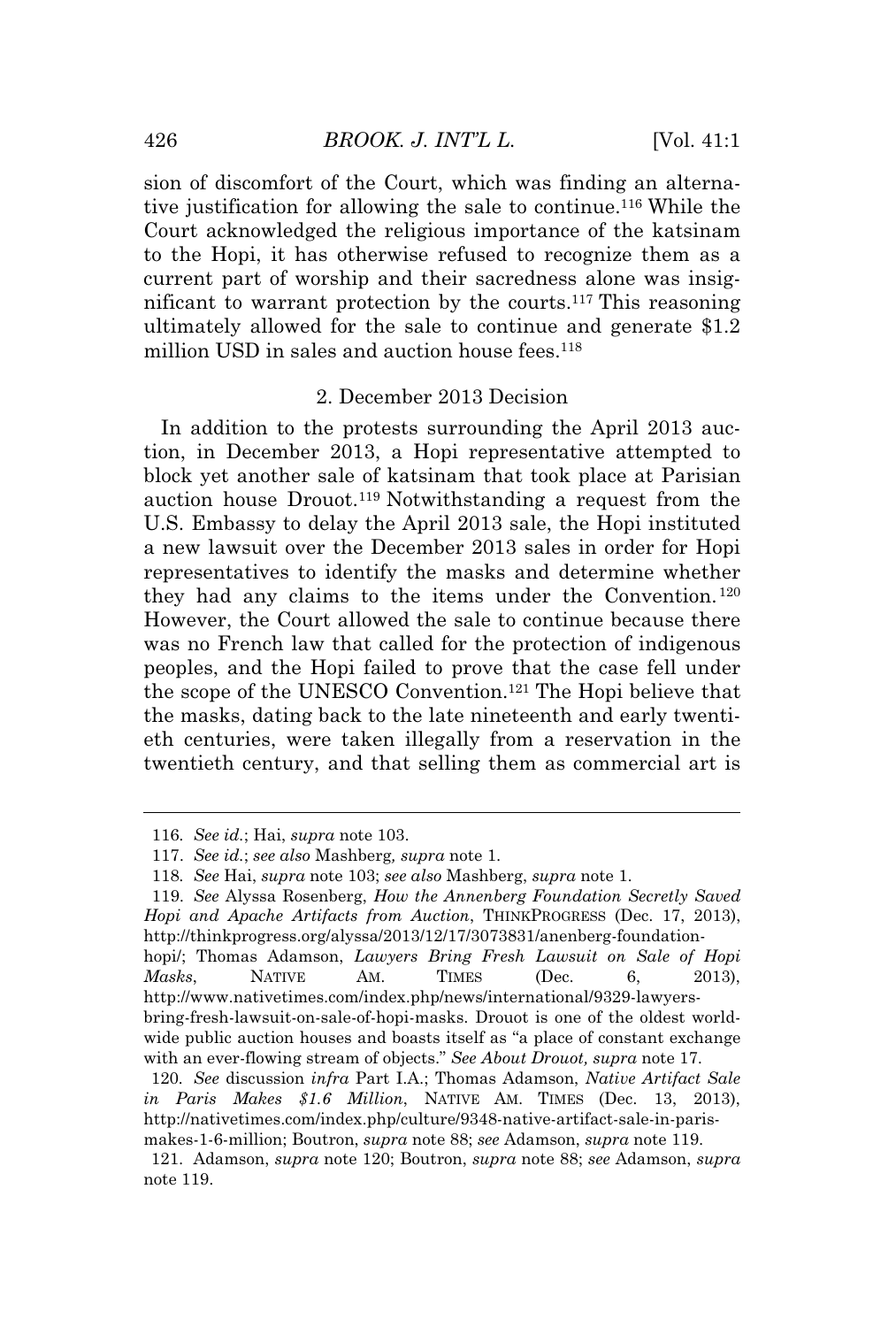sion of discomfort of the Court, which was finding an alternative justification for allowing the sale to continue.<sup>116</sup> While the Court acknowledged the religious importance of the katsinam to the Hopi, it has otherwise refused to recognize them as a current part of worship and their sacredness alone was insignificant to warrant protection by the courts.<sup>117</sup> This reasoning ultimately allowed for the sale to continue and generate \$1.2 million USD in sales and auction house fees.<sup>118</sup>

### 2. December 2013 Decision

In addition to the protests surrounding the April 2013 auction, in December 2013, a Hopi representative attempted to block yet another sale of katsinam that took place at Parisian auction house Drouot.<sup>119</sup> Notwithstanding a request from the U.S. Embassy to delay the April 2013 sale, the Hopi instituted a new lawsuit over the December 2013 sales in order for Hopi representatives to identify the masks and determine whether they had any claims to the items under the Convention. <sup>120</sup> However, the Court allowed the sale to continue because there was no French law that called for the protection of indigenous peoples, and the Hopi failed to prove that the case fell under the scope of the UNESCO Convention.<sup>121</sup> The Hopi believe that the masks, dating back to the late nineteenth and early twentieth centuries, were taken illegally from a reservation in the twentieth century, and that selling them as commercial art is

hopi/; Thomas Adamson, *Lawyers Bring Fresh Lawsuit on Sale of Hopi Masks*, NATIVE AM. TIMES (Dec. 6, 2013), http://www.nativetimes.com/index.php/news/international/9329-lawyersbring-fresh-lawsuit-on-sale-of-hopi-masks. Drouot is one of the oldest world-

<sup>116</sup>*. See id.*; Hai, *supra* note 103.

<sup>117.</sup> *See id.*; *see also* Mashberg*, supra* note 1.

<sup>118</sup>*. See* Hai, *supra* note 103; *see also* Mashberg, *supra* note 1.

<sup>119.</sup> *See* Alyssa Rosenberg, *How the Annenberg Foundation Secretly Saved Hopi and Apache Artifacts from Auction*, THINKPROGRESS (Dec. 17, 2013), http://thinkprogress.org/alyssa/2013/12/17/3073831/anenberg-foundation-

wide public auction houses and boasts itself as "a place of constant exchange with an ever-flowing stream of objects." *See About Drouot, supra* note 17.

<sup>120</sup>*. See* discussion *infra* Part I.A.; Thomas Adamson, *Native Artifact Sale in Paris Makes \$1.6 Million*, NATIVE AM. TIMES (Dec. 13, 2013), http://nativetimes.com/index.php/culture/9348-native-artifact-sale-in-parismakes-1-6-million; Boutron, *supra* note 88; *see* Adamson, *supra* note 119.

<sup>121.</sup> Adamson, *supra* note 120; Boutron, *supra* note 88; *see* Adamson, *supra* note 119.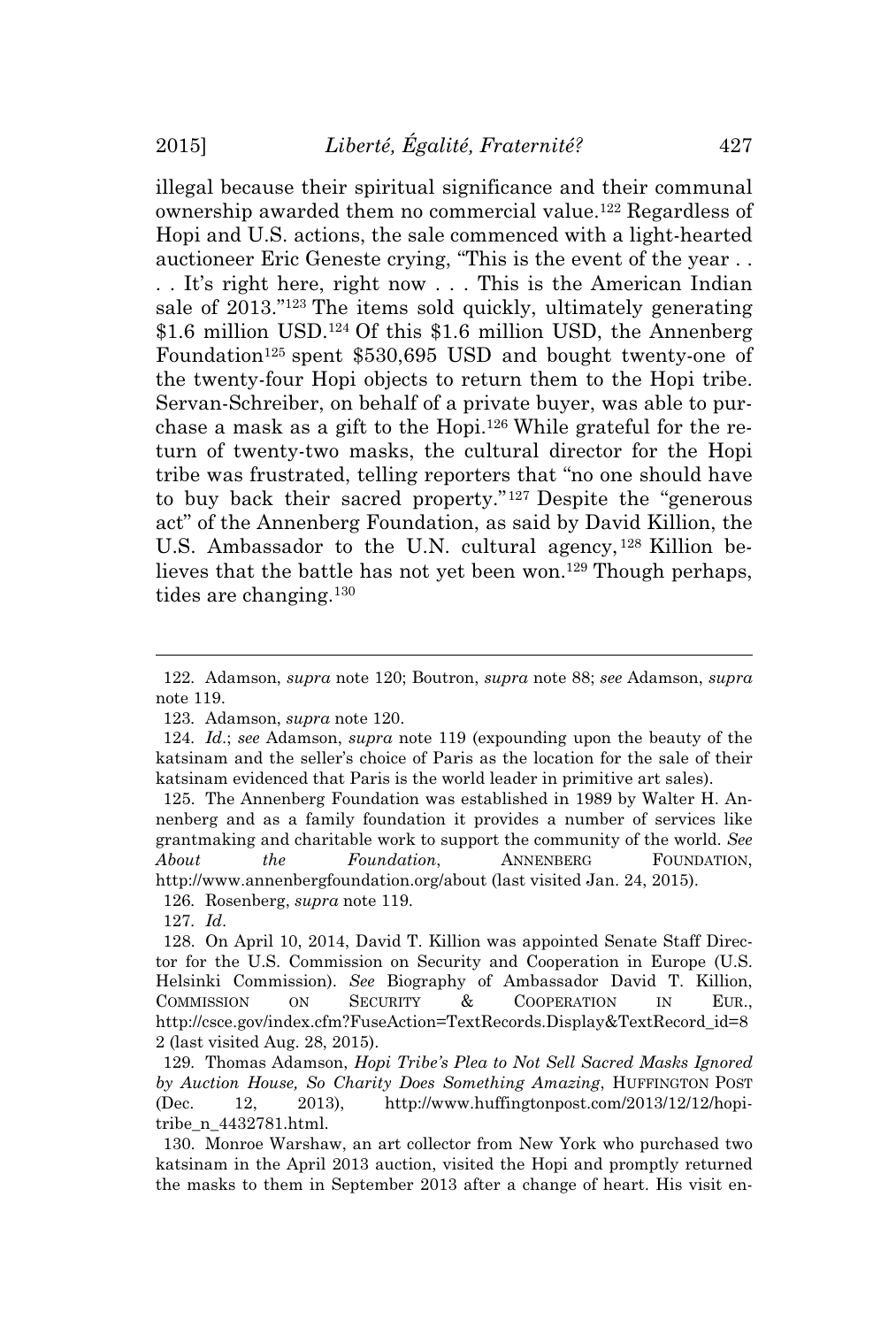illegal because their spiritual significance and their communal ownership awarded them no commercial value.<sup>122</sup> Regardless of Hopi and U.S. actions, the sale commenced with a light-hearted auctioneer Eric Geneste crying, "This is the event of the year . . . . It's right here, right now . . . This is the American Indian sale of 2013." <sup>123</sup> The items sold quickly, ultimately generating \$1.6 million USD.<sup>124</sup> Of this \$1.6 million USD, the Annenberg Foundation<sup>125</sup> spent \$530,695 USD and bought twenty-one of the twenty-four Hopi objects to return them to the Hopi tribe. Servan-Schreiber, on behalf of a private buyer, was able to purchase a mask as a gift to the Hopi.<sup>126</sup> While grateful for the return of twenty-two masks, the cultural director for the Hopi tribe was frustrated, telling reporters that "no one should have to buy back their sacred property." <sup>127</sup> Despite the "generous act" of the Annenberg Foundation, as said by David Killion, the U.S. Ambassador to the U.N. cultural agency, <sup>128</sup> Killion believes that the battle has not yet been won.<sup>129</sup> Though perhaps, tides are changing.<sup>130</sup>

<sup>122</sup>*.* Adamson, *supra* note 120; Boutron, *supra* note 88; *see* Adamson, *supra* note 119.

<sup>123</sup>*.* Adamson, *supra* note 120.

<sup>124</sup>*. Id*.; *see* Adamson, *supra* note 119 (expounding upon the beauty of the katsinam and the seller's choice of Paris as the location for the sale of their katsinam evidenced that Paris is the world leader in primitive art sales).

<sup>125.</sup> The Annenberg Foundation was established in 1989 by Walter H. Annenberg and as a family foundation it provides a number of services like grantmaking and charitable work to support the community of the world. *See About the Foundation*, ANNENBERG FOUNDATION, http://www.annenbergfoundation.org/about (last visited Jan. 24, 2015).

<sup>126</sup>*.* Rosenberg, *supra* note 119.

<sup>127</sup>*. Id*.

<sup>128.</sup> On April 10, 2014, David T. Killion was appointed Senate Staff Director for the U.S. Commission on Security and Cooperation in Europe (U.S. Helsinki Commission). *See* Biography of Ambassador David T. Killion, COMMISSION ON SECURITY & COOPERATION IN EUR., http://csce.gov/index.cfm?FuseAction=TextRecords.Display&TextRecord\_id=8 2 (last visited Aug. 28, 2015).

<sup>129</sup>*.* Thomas Adamson, *Hopi Tribe's Plea to Not Sell Sacred Masks Ignored by Auction House, So Charity Does Something Amazing*, HUFFINGTON POST (Dec. 12, 2013), http://www.huffingtonpost.com/2013/12/12/hopitribe\_n\_4432781.html.

<sup>130.</sup> Monroe Warshaw, an art collector from New York who purchased two katsinam in the April 2013 auction, visited the Hopi and promptly returned the masks to them in September 2013 after a change of heart. His visit en-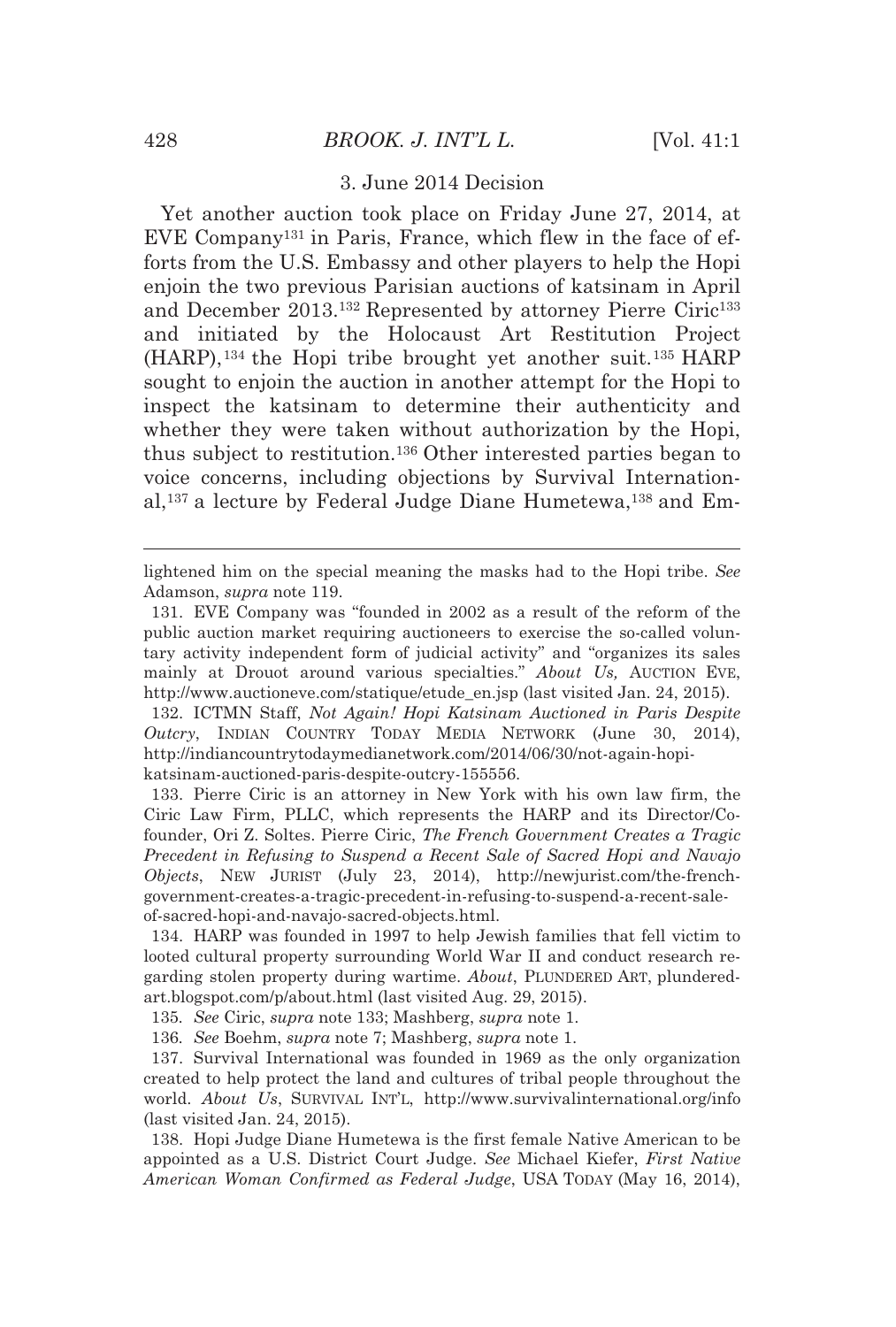#### 3. June 2014 Decision

Yet another auction took place on Friday June 27, 2014, at EVE Company131 in Paris, France, which flew in the face of efforts from the U.S. Embassy and other players to help the Hopi enjoin the two previous Parisian auctions of katsinam in April and December 2013.<sup>132</sup> Represented by attorney Pierre Ciric<sup>133</sup> and initiated by the Holocaust Art Restitution Project (HARP),134 the Hopi tribe brought yet another suit.135 HARP sought to enjoin the auction in another attempt for the Hopi to inspect the katsinam to determine their authenticity and whether they were taken without authorization by the Hopi, thus subject to restitution.136 Other interested parties began to voice concerns, including objections by Survival International,137 a lecture by Federal Judge Diane Humetewa,138 and Em-

132. ICTMN Staff, *Not Again! Hopi Katsinam Auctioned in Paris Despite Outcry*, INDIAN COUNTRY TODAY MEDIA NETWORK (June 30, 2014), http://indiancountrytodaymedianetwork.com/2014/06/30/not-again-hopikatsinam-auctioned-paris-despite-outcry-155556.

133. Pierre Ciric is an attorney in New York with his own law firm, the Ciric Law Firm, PLLC, which represents the HARP and its Director/Cofounder, Ori Z. Soltes. Pierre Ciric, *The French Government Creates a Tragic Precedent in Refusing to Suspend a Recent Sale of Sacred Hopi and Navajo Objects*, NEW JURIST (July 23, 2014), http://newjurist.com/the-frenchgovernment-creates-a-tragic-precedent-in-refusing-to-suspend-a-recent-saleof-sacred-hopi-and-navajo-sacred-objects.html.

134. HARP was founded in 1997 to help Jewish families that fell victim to looted cultural property surrounding World War II and conduct research regarding stolen property during wartime. *About*, PLUNDERED ART, plunderedart.blogspot.com/p/about.html (last visited Aug. 29, 2015).

135*. See* Ciric, *supra* note 133; Mashberg, *supra* note 1.

136*. See* Boehm, *supra* note 7; Mashberg, *supra* note 1.

137. Survival International was founded in 1969 as the only organization created to help protect the land and cultures of tribal people throughout the world. *About Us*, SURVIVAL INT'L, http://www.survivalinternational.org/info (last visited Jan. 24, 2015).

138. Hopi Judge Diane Humetewa is the first female Native American to be appointed as a U.S. District Court Judge. *See* Michael Kiefer, *First Native American Woman Confirmed as Federal Judge*, USA TODAY (May 16, 2014),

lightened him on the special meaning the masks had to the Hopi tribe. *See* Adamson, *supra* note 119.

<sup>131.</sup> EVE Company was "founded in 2002 as a result of the reform of the public auction market requiring auctioneers to exercise the so-called voluntary activity independent form of judicial activity" and "organizes its sales mainly at Drouot around various specialties." *About Us,* AUCTION EVE, http://www.auctioneve.com/statique/etude\_en.jsp (last visited Jan. 24, 2015).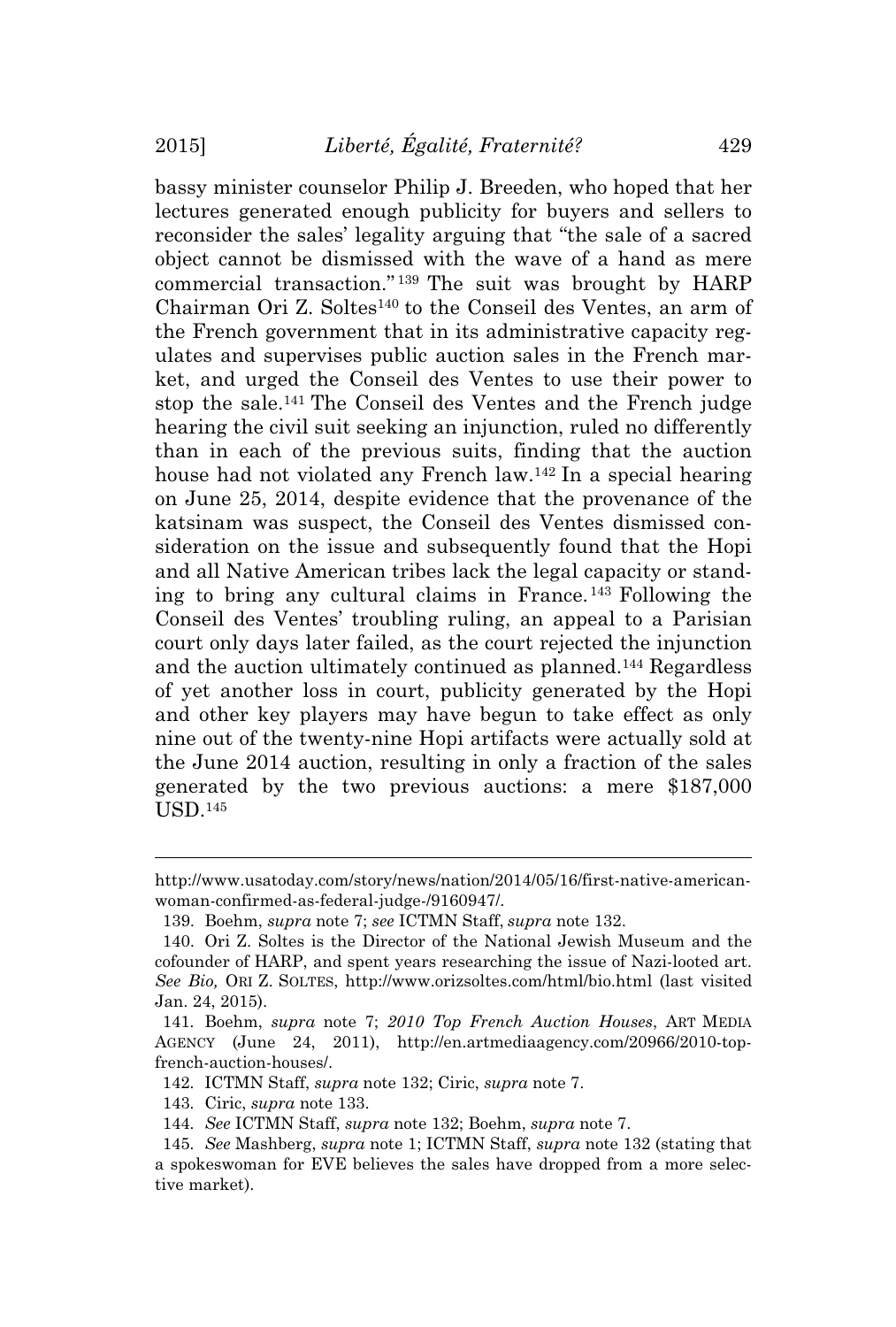bassy minister counselor Philip J. Breeden, who hoped that her lectures generated enough publicity for buyers and sellers to reconsider the sales' legality arguing that "the sale of a sacred object cannot be dismissed with the wave of a hand as mere commercial transaction." <sup>139</sup> The suit was brought by HARP Chairman Ori Z. Soltes<sup>140</sup> to the Conseil des Ventes, an arm of the French government that in its administrative capacity regulates and supervises public auction sales in the French market, and urged the Conseil des Ventes to use their power to stop the sale.<sup>141</sup> The Conseil des Ventes and the French judge hearing the civil suit seeking an injunction, ruled no differently than in each of the previous suits, finding that the auction house had not violated any French law.<sup>142</sup> In a special hearing on June 25, 2014, despite evidence that the provenance of the katsinam was suspect, the Conseil des Ventes dismissed consideration on the issue and subsequently found that the Hopi and all Native American tribes lack the legal capacity or standing to bring any cultural claims in France. <sup>143</sup> Following the Conseil des Ventes' troubling ruling, an appeal to a Parisian court only days later failed, as the court rejected the injunction and the auction ultimately continued as planned.<sup>144</sup> Regardless of yet another loss in court, publicity generated by the Hopi and other key players may have begun to take effect as only nine out of the twenty-nine Hopi artifacts were actually sold at the June 2014 auction, resulting in only a fraction of the sales generated by the two previous auctions: a mere \$187,000 USD.<sup>145</sup>

143*.* Ciric, *supra* note 133.

http://www.usatoday.com/story/news/nation/2014/05/16/first-native-americanwoman-confirmed-as-federal-judge-/9160947/.

<sup>139.</sup> Boehm, *supra* note 7; *see* ICTMN Staff, *supra* note 132.

<sup>140.</sup> Ori Z. Soltes is the Director of the National Jewish Museum and the cofounder of HARP, and spent years researching the issue of Nazi-looted art. *See Bio,* ORI Z. SOLTES, http://www.orizsoltes.com/html/bio.html (last visited Jan. 24, 2015).

<sup>141</sup>*.* Boehm, *supra* note 7; *2010 Top French Auction Houses*, ART MEDIA AGENCY (June 24, 2011), http://en.artmediaagency.com/20966/2010-topfrench-auction-houses/.

<sup>142</sup>*.* ICTMN Staff, *supra* note 132; Ciric, *supra* note 7.

<sup>144</sup>*. See* ICTMN Staff, *supra* note 132; Boehm, *supra* note 7.

<sup>145</sup>*. See* Mashberg, *supra* note 1; ICTMN Staff, *supra* note 132 (stating that a spokeswoman for EVE believes the sales have dropped from a more selective market).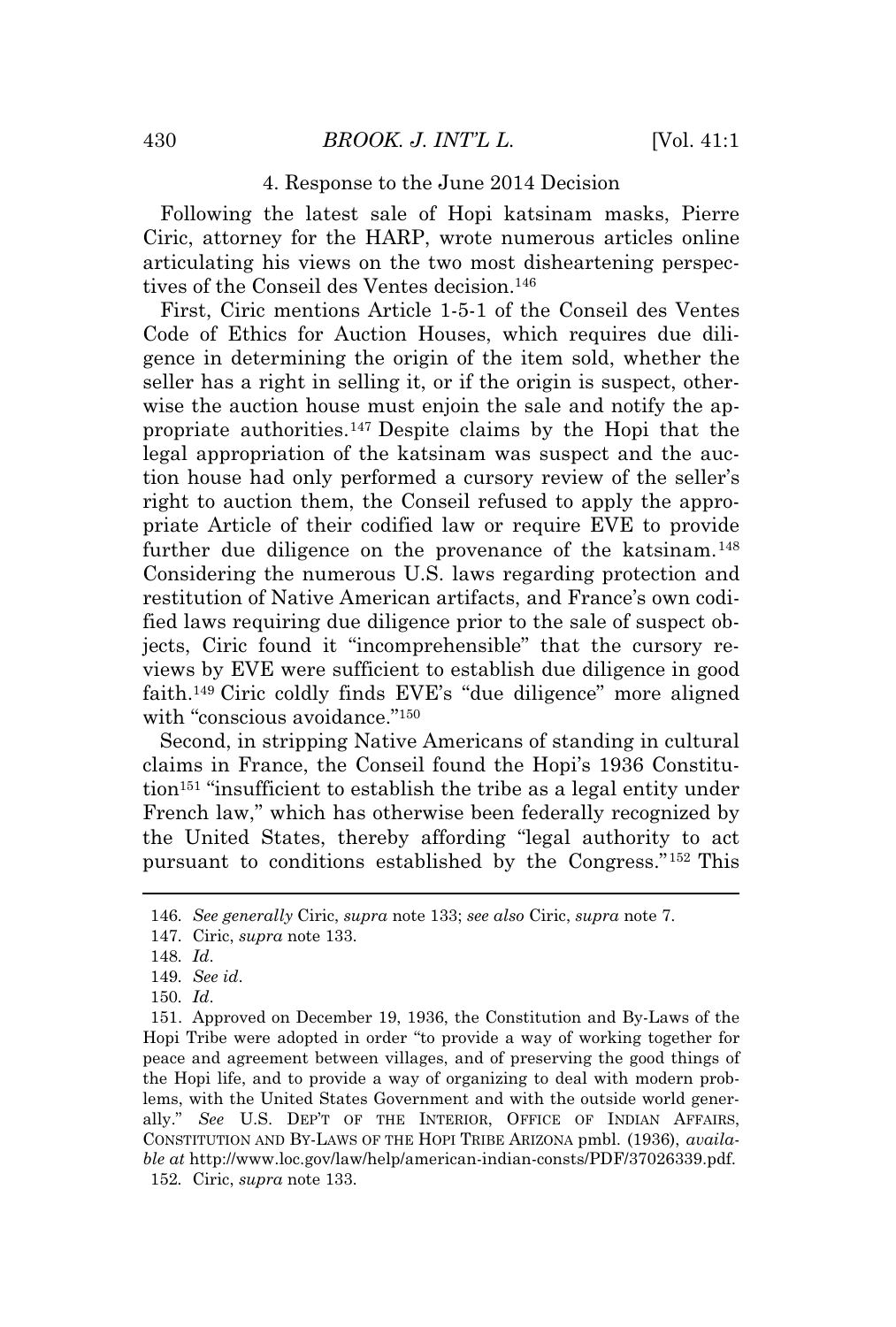#### 4. Response to the June 2014 Decision

Following the latest sale of Hopi katsinam masks, Pierre Ciric, attorney for the HARP, wrote numerous articles online articulating his views on the two most disheartening perspectives of the Conseil des Ventes decision.<sup>146</sup>

First, Ciric mentions Article 1-5-1 of the Conseil des Ventes Code of Ethics for Auction Houses, which requires due diligence in determining the origin of the item sold, whether the seller has a right in selling it, or if the origin is suspect, otherwise the auction house must enjoin the sale and notify the appropriate authorities.<sup>147</sup> Despite claims by the Hopi that the legal appropriation of the katsinam was suspect and the auction house had only performed a cursory review of the seller's right to auction them, the Conseil refused to apply the appropriate Article of their codified law or require EVE to provide further due diligence on the provenance of the katsinam.<sup>148</sup> Considering the numerous U.S. laws regarding protection and restitution of Native American artifacts, and France's own codified laws requiring due diligence prior to the sale of suspect objects, Ciric found it "incomprehensible" that the cursory reviews by EVE were sufficient to establish due diligence in good faith.<sup>149</sup> Ciric coldly finds EVE's "due diligence" more aligned with "conscious avoidance."<sup>150</sup>

Second, in stripping Native Americans of standing in cultural claims in France, the Conseil found the Hopi's 1936 Constitution<sup>151</sup> "insufficient to establish the tribe as a legal entity under French law," which has otherwise been federally recognized by the United States, thereby affording "legal authority to act pursuant to conditions established by the Congress." <sup>152</sup> This

<sup>146</sup>*. See generally* Ciric, *supra* note 133; *see also* Ciric, *supra* note 7.

<sup>147</sup>*.* Ciric, *supra* note 133.

<sup>148</sup>*. Id*.

<sup>149</sup>*. See id*.

<sup>150</sup>*. Id*.

<sup>151.</sup> Approved on December 19, 1936, the Constitution and By-Laws of the Hopi Tribe were adopted in order "to provide a way of working together for peace and agreement between villages, and of preserving the good things of the Hopi life, and to provide a way of organizing to deal with modern problems, with the United States Government and with the outside world generally." *See* U.S. DEP'T OF THE INTERIOR, OFFICE OF INDIAN AFFAIRS, CONSTITUTION AND BY-LAWS OF THE HOPI TRIBE ARIZONA pmbl. (1936), *available at* http://www.loc.gov/law/help/american-indian-consts/PDF/37026339.pdf. 152*.* Ciric, *supra* note 133.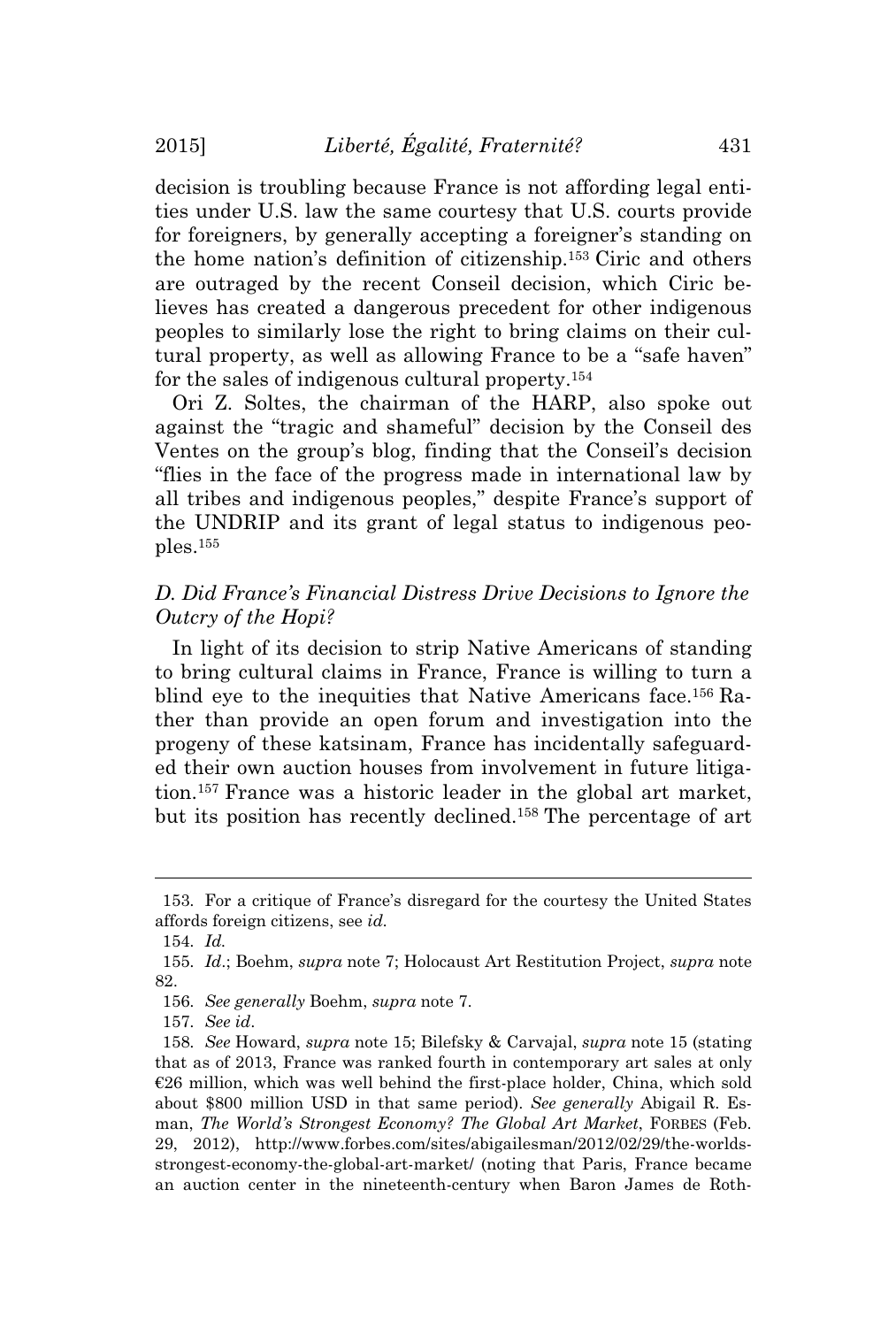decision is troubling because France is not affording legal entities under U.S. law the same courtesy that U.S. courts provide for foreigners, by generally accepting a foreigner's standing on the home nation's definition of citizenship.<sup>153</sup> Ciric and others are outraged by the recent Conseil decision, which Ciric believes has created a dangerous precedent for other indigenous peoples to similarly lose the right to bring claims on their cultural property, as well as allowing France to be a "safe haven" for the sales of indigenous cultural property.<sup>154</sup>

Ori Z. Soltes, the chairman of the HARP, also spoke out against the "tragic and shameful" decision by the Conseil des Ventes on the group's blog, finding that the Conseil's decision "flies in the face of the progress made in international law by all tribes and indigenous peoples," despite France's support of the UNDRIP and its grant of legal status to indigenous peoples.<sup>155</sup>

# *D. Did France's Financial Distress Drive Decisions to Ignore the Outcry of the Hopi?*

In light of its decision to strip Native Americans of standing to bring cultural claims in France, France is willing to turn a blind eye to the inequities that Native Americans face.<sup>156</sup> Rather than provide an open forum and investigation into the progeny of these katsinam, France has incidentally safeguarded their own auction houses from involvement in future litigation.<sup>157</sup> France was a historic leader in the global art market, but its position has recently declined.<sup>158</sup> The percentage of art

<sup>153</sup>*.* For a critique of France's disregard for the courtesy the United States affords foreign citizens, see *id.*

<sup>154</sup>*. Id.*

<sup>155</sup>*. Id*.; Boehm, *supra* note 7; Holocaust Art Restitution Project, *supra* note 82.

<sup>156</sup>*. See generally* Boehm, *supra* note 7.

<sup>157</sup>*. See id*.

<sup>158</sup>*. See* Howard, *supra* note 15; Bilefsky & Carvajal, *supra* note 15 (stating that as of 2013, France was ranked fourth in contemporary art sales at only  $E26$  million, which was well behind the first-place holder, China, which sold about \$800 million USD in that same period). *See generally* Abigail R. Esman, *The World's Strongest Economy? The Global Art Market*, FORBES (Feb. 29, 2012), http://www.forbes.com/sites/abigailesman/2012/02/29/the-worldsstrongest-economy-the-global-art-market/ (noting that Paris, France became an auction center in the nineteenth-century when Baron James de Roth-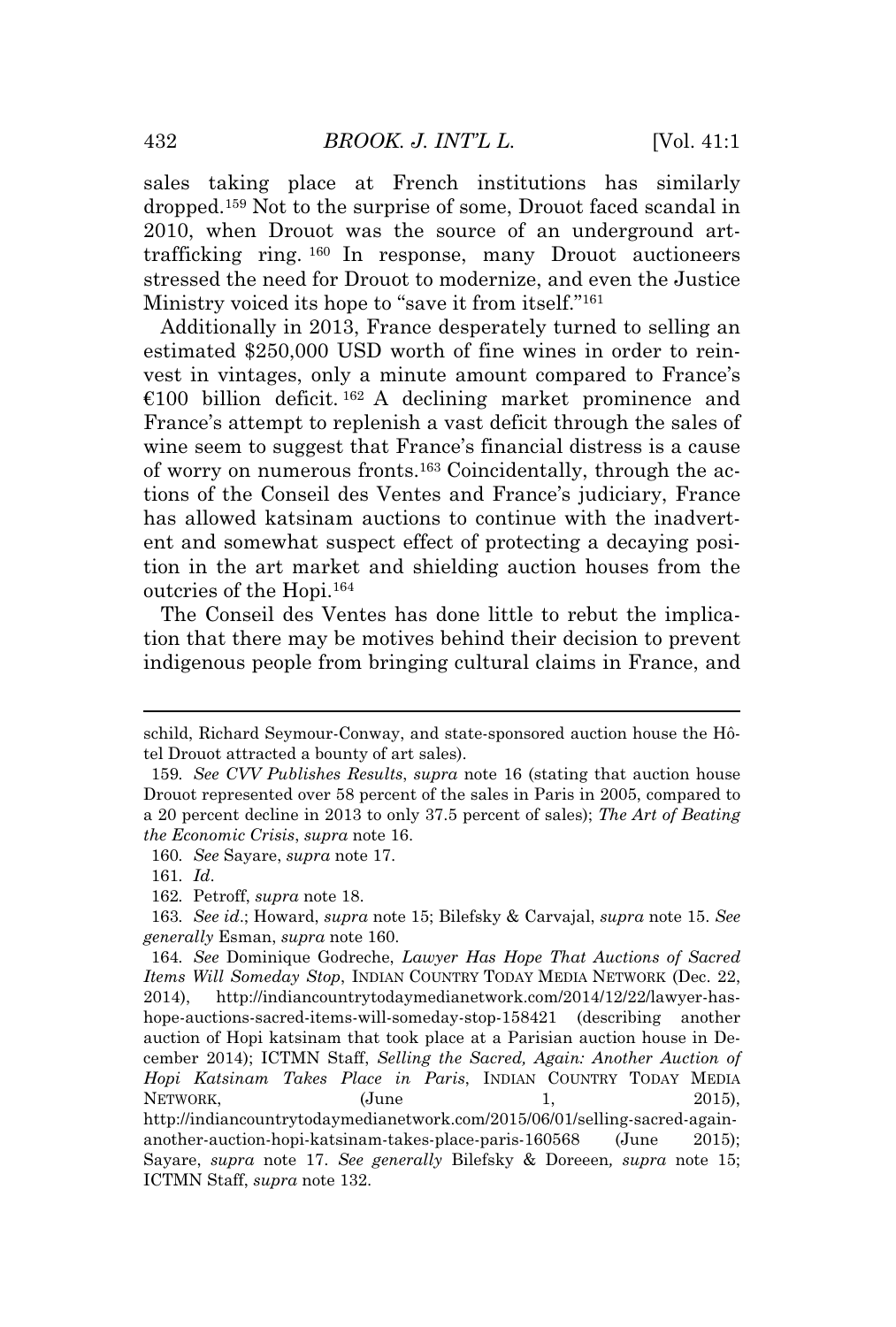sales taking place at French institutions has similarly dropped.<sup>159</sup> Not to the surprise of some, Drouot faced scandal in 2010, when Drouot was the source of an underground arttrafficking ring. <sup>160</sup> In response, many Drouot auctioneers stressed the need for Drouot to modernize, and even the Justice Ministry voiced its hope to "save it from itself." 161

Additionally in 2013, France desperately turned to selling an estimated \$250,000 USD worth of fine wines in order to reinvest in vintages, only a minute amount compared to France's €100 billion deficit.<sup>162</sup> A declining market prominence and France's attempt to replenish a vast deficit through the sales of wine seem to suggest that France's financial distress is a cause of worry on numerous fronts.<sup>163</sup> Coincidentally, through the actions of the Conseil des Ventes and France's judiciary, France has allowed katsinam auctions to continue with the inadvertent and somewhat suspect effect of protecting a decaying position in the art market and shielding auction houses from the outcries of the Hopi.<sup>164</sup>

The Conseil des Ventes has done little to rebut the implication that there may be motives behind their decision to prevent indigenous people from bringing cultural claims in France, and

schild, Richard Seymour-Conway, and state-sponsored auction house the Hôtel Drouot attracted a bounty of art sales).

<sup>159</sup>*. See CVV Publishes Results*, *supra* note 16 (stating that auction house Drouot represented over 58 percent of the sales in Paris in 2005, compared to a 20 percent decline in 2013 to only 37.5 percent of sales); *The Art of Beating the Economic Crisis*, *supra* note 16.

<sup>160</sup>*. See* Sayare, *supra* note 17.

<sup>161</sup>*. Id*.

<sup>162</sup>*.* Petroff, *supra* note 18.

<sup>163</sup>*. See id*.; Howard, *supra* note 15; Bilefsky & Carvajal, *supra* note 15. *See generally* Esman, *supra* note 160.

<sup>164</sup>*. See* Dominique Godreche, *Lawyer Has Hope That Auctions of Sacred Items Will Someday Stop*, INDIAN COUNTRY TODAY MEDIA NETWORK (Dec. 22, 2014), http://indiancountrytodaymedianetwork.com/2014/12/22/lawyer-hashope-auctions-sacred-items-will-someday-stop-158421 (describing another auction of Hopi katsinam that took place at a Parisian auction house in December 2014); ICTMN Staff, *Selling the Sacred, Again: Another Auction of Hopi Katsinam Takes Place in Paris*, INDIAN COUNTRY TODAY MEDIA NETWORK,  $(\text{June} 1, 2015)$ http://indiancountrytodaymedianetwork.com/2015/06/01/selling-sacred-againanother-auction-hopi-katsinam-takes-place-paris-160568 (June 2015); Sayare, *supra* note 17. *See generally* Bilefsky & Doreeen*, supra* note 15; ICTMN Staff, *supra* note 132.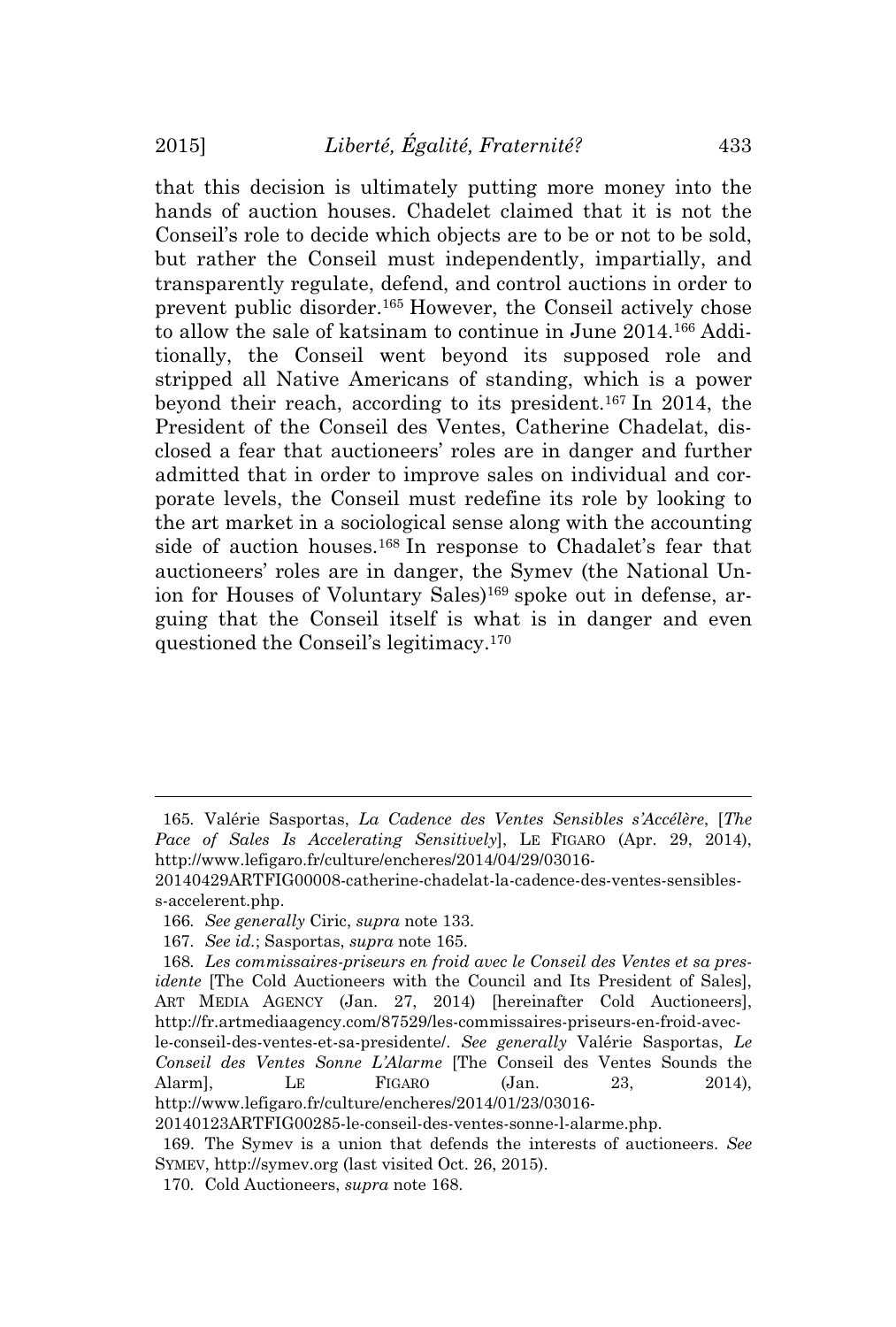that this decision is ultimately putting more money into the hands of auction houses. Chadelet claimed that it is not the Conseil's role to decide which objects are to be or not to be sold, but rather the Conseil must independently, impartially, and transparently regulate, defend, and control auctions in order to prevent public disorder.<sup>165</sup> However, the Conseil actively chose to allow the sale of katsinam to continue in June 2014.<sup>166</sup> Additionally, the Conseil went beyond its supposed role and stripped all Native Americans of standing, which is a power beyond their reach, according to its president.<sup>167</sup> In 2014, the President of the Conseil des Ventes, Catherine Chadelat, disclosed a fear that auctioneers' roles are in danger and further admitted that in order to improve sales on individual and corporate levels, the Conseil must redefine its role by looking to the art market in a sociological sense along with the accounting side of auction houses.<sup>168</sup> In response to Chadalet's fear that auctioneers' roles are in danger, the Symev (the National Union for Houses of Voluntary Sales)<sup>169</sup> spoke out in defense, arguing that the Conseil itself is what is in danger and even questioned the Conseil's legitimacy.<sup>170</sup>

<sup>165</sup>*.* Valérie Sasportas, *La Cadence des Ventes Sensibles s'Accélère*, [*The Pace of Sales Is Accelerating Sensitively*], LE FIGARO (Apr. 29, 2014), http://www.lefigaro.fr/culture/encheres/2014/04/29/03016-

<sup>20140429</sup>ARTFIG00008-catherine-chadelat-la-cadence-des-ventes-sensibless-accelerent.php.

<sup>166</sup>*. See generally* Ciric, *supra* note 133.

<sup>167</sup>*. See id.*; Sasportas, *supra* note 165.

<sup>168</sup>*. Les commissaires-priseurs en froid avec le Conseil des Ventes et sa presidente* [The Cold Auctioneers with the Council and Its President of Sales], ART MEDIA AGENCY (Jan. 27, 2014) [hereinafter Cold Auctioneers], http://fr.artmediaagency.com/87529/les-commissaires-priseurs-en-froid-avecle-conseil-des-ventes-et-sa-presidente/. *See generally* Valérie Sasportas, *Le Conseil des Ventes Sonne L'Alarme* [The Conseil des Ventes Sounds the Alarm], LE FIGARO (Jan. 23, 2014),

http://www.lefigaro.fr/culture/encheres/2014/01/23/03016-

<sup>20140123</sup>ARTFIG00285-le-conseil-des-ventes-sonne-l-alarme.php.

<sup>169.</sup> The Symev is a union that defends the interests of auctioneers. *See* SYMEV, http://symev.org (last visited Oct. 26, 2015).

<sup>170</sup>*.* Cold Auctioneers, *supra* note 168.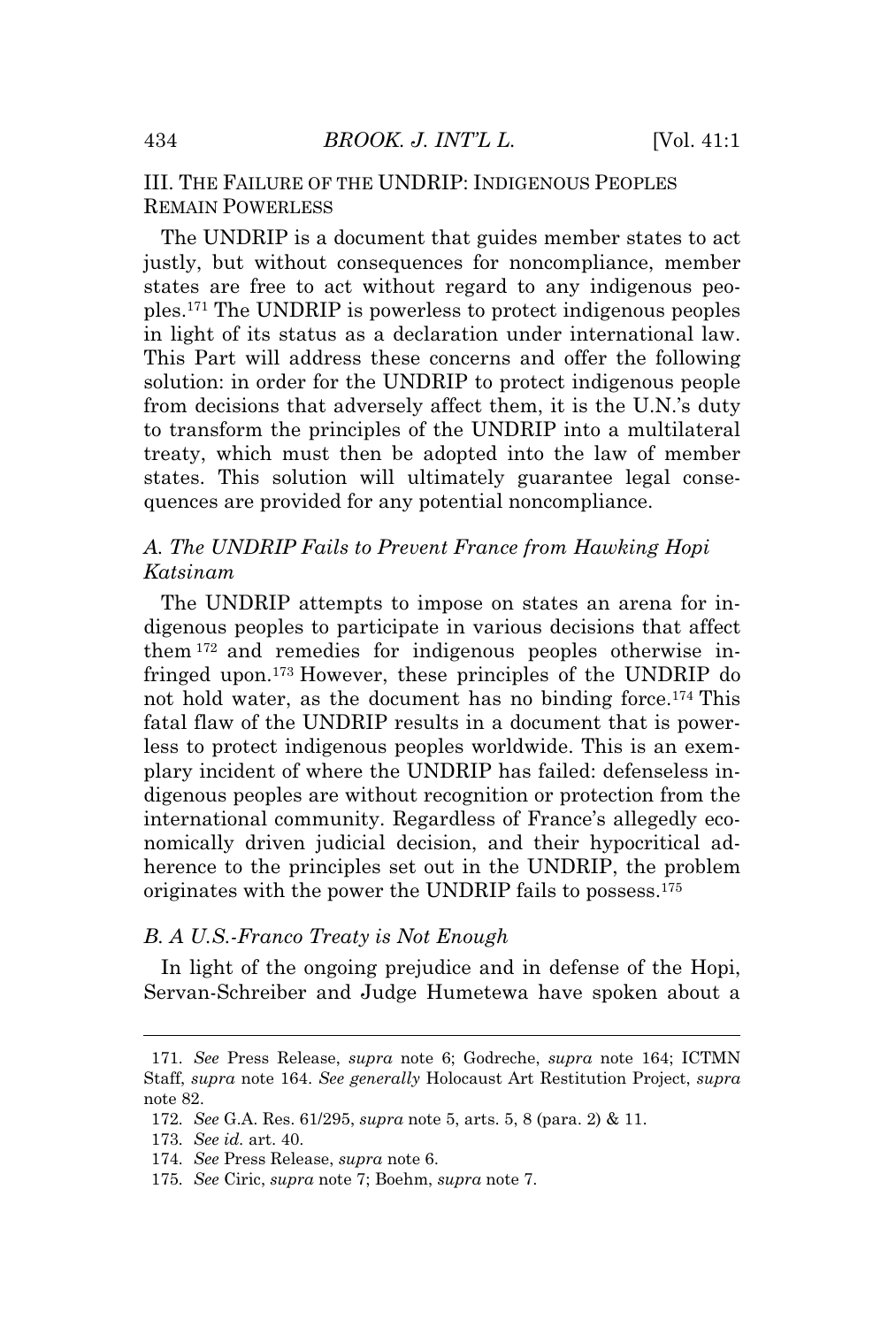# III. THE FAILURE OF THE UNDRIP: INDIGENOUS PEOPLES REMAIN POWERLESS

The UNDRIP is a document that guides member states to act justly, but without consequences for noncompliance, member states are free to act without regard to any indigenous peoples.<sup>171</sup> The UNDRIP is powerless to protect indigenous peoples in light of its status as a declaration under international law. This Part will address these concerns and offer the following solution: in order for the UNDRIP to protect indigenous people from decisions that adversely affect them, it is the U.N.'s duty to transform the principles of the UNDRIP into a multilateral treaty, which must then be adopted into the law of member states. This solution will ultimately guarantee legal consequences are provided for any potential noncompliance.

# *A. The UNDRIP Fails to Prevent France from Hawking Hopi Katsinam*

The UNDRIP attempts to impose on states an arena for indigenous peoples to participate in various decisions that affect them <sup>172</sup> and remedies for indigenous peoples otherwise infringed upon.<sup>173</sup> However, these principles of the UNDRIP do not hold water, as the document has no binding force.<sup>174</sup> This fatal flaw of the UNDRIP results in a document that is powerless to protect indigenous peoples worldwide. This is an exemplary incident of where the UNDRIP has failed: defenseless indigenous peoples are without recognition or protection from the international community. Regardless of France's allegedly economically driven judicial decision, and their hypocritical adherence to the principles set out in the UNDRIP, the problem originates with the power the UNDRIP fails to possess.<sup>175</sup>

#### *B. A U.S.-Franco Treaty is Not Enough*

In light of the ongoing prejudice and in defense of the Hopi, Servan-Schreiber and Judge Humetewa have spoken about a

<sup>171</sup>*. See* Press Release, *supra* note 6; Godreche, *supra* note 164; ICTMN Staff, *supra* note 164. *See generally* Holocaust Art Restitution Project, *supra* note 82.

<sup>172</sup>*. See* G.A. Res. 61/295, *supra* note 5, arts. 5, 8 (para. 2) & 11.

<sup>173</sup>*. See id.* art. 40.

<sup>174</sup>*. See* Press Release, *supra* note 6.

<sup>175</sup>*. See* Ciric, *supra* note 7; Boehm, *supra* note 7.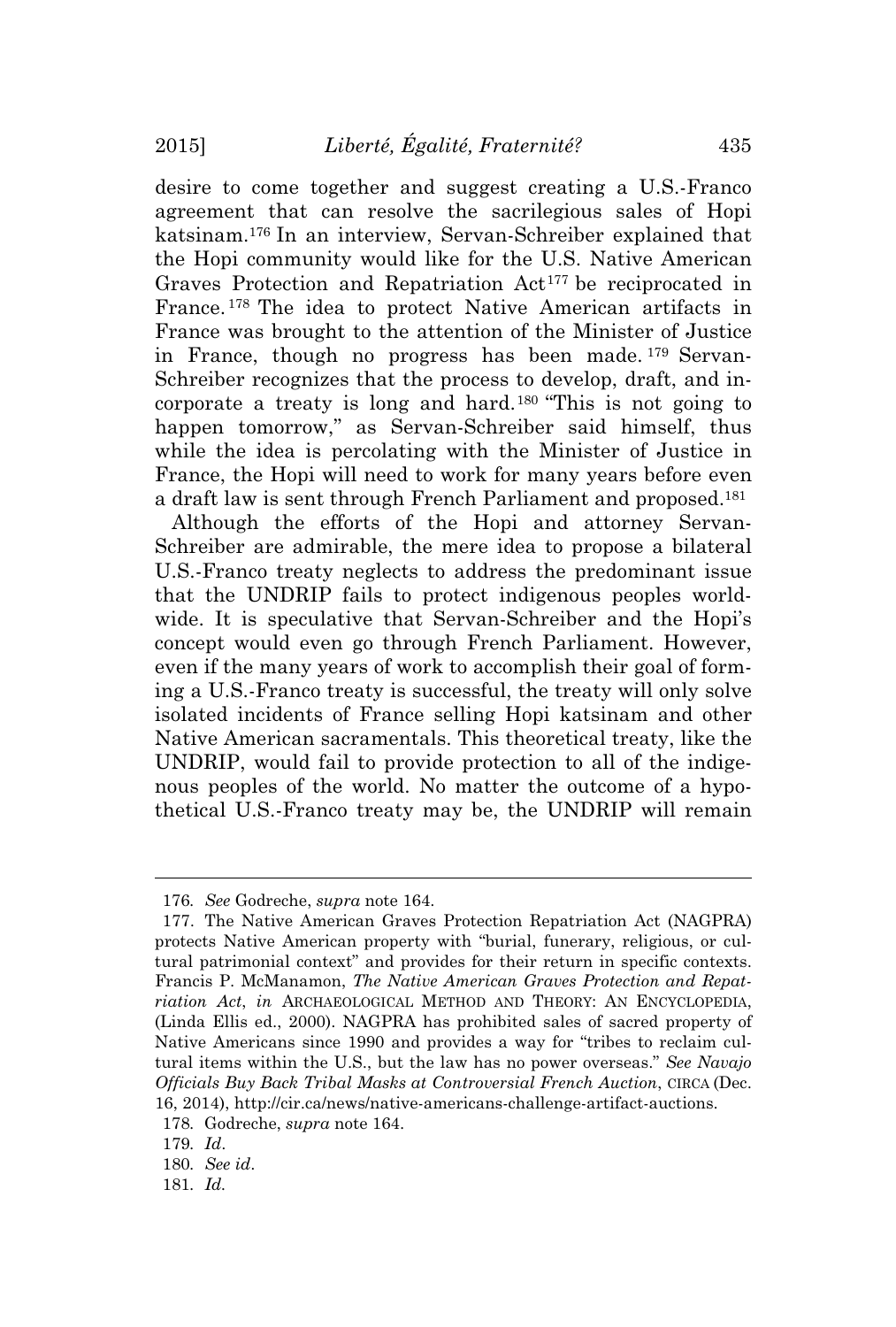desire to come together and suggest creating a U.S.-Franco agreement that can resolve the sacrilegious sales of Hopi katsinam.<sup>176</sup> In an interview, Servan-Schreiber explained that the Hopi community would like for the U.S. Native American Graves Protection and Repatriation Act<sup>177</sup> be reciprocated in France. <sup>178</sup> The idea to protect Native American artifacts in France was brought to the attention of the Minister of Justice in France, though no progress has been made. <sup>179</sup> Servan-Schreiber recognizes that the process to develop, draft, and incorporate a treaty is long and hard.<sup>180</sup> "This is not going to happen tomorrow," as Servan-Schreiber said himself, thus while the idea is percolating with the Minister of Justice in France, the Hopi will need to work for many years before even a draft law is sent through French Parliament and proposed.<sup>181</sup>

Although the efforts of the Hopi and attorney Servan-Schreiber are admirable, the mere idea to propose a bilateral U.S.-Franco treaty neglects to address the predominant issue that the UNDRIP fails to protect indigenous peoples worldwide. It is speculative that Servan-Schreiber and the Hopi's concept would even go through French Parliament. However, even if the many years of work to accomplish their goal of forming a U.S.-Franco treaty is successful, the treaty will only solve isolated incidents of France selling Hopi katsinam and other Native American sacramentals. This theoretical treaty, like the UNDRIP, would fail to provide protection to all of the indigenous peoples of the world. No matter the outcome of a hypothetical U.S.-Franco treaty may be, the UNDRIP will remain

<sup>176</sup>*. See* Godreche, *supra* note 164.

<sup>177.</sup> The Native American Graves Protection Repatriation Act (NAGPRA) protects Native American property with "burial, funerary, religious, or cultural patrimonial context" and provides for their return in specific contexts. Francis P. McManamon, *The Native American Graves Protection and Repatriation Act*, *in* ARCHAEOLOGICAL METHOD AND THEORY: AN ENCYCLOPEDIA, (Linda Ellis ed., 2000). NAGPRA has prohibited sales of sacred property of Native Americans since 1990 and provides a way for "tribes to reclaim cultural items within the U.S., but the law has no power overseas." *See Navajo Officials Buy Back Tribal Masks at Controversial French Auction*, CIRCA (Dec. 16, 2014), http://cir.ca/news/native-americans-challenge-artifact-auctions.

<sup>178</sup>*.* Godreche, *supra* note 164.

<sup>179</sup>*. Id*.

<sup>180</sup>*. See id*.

<sup>181</sup>*. Id.*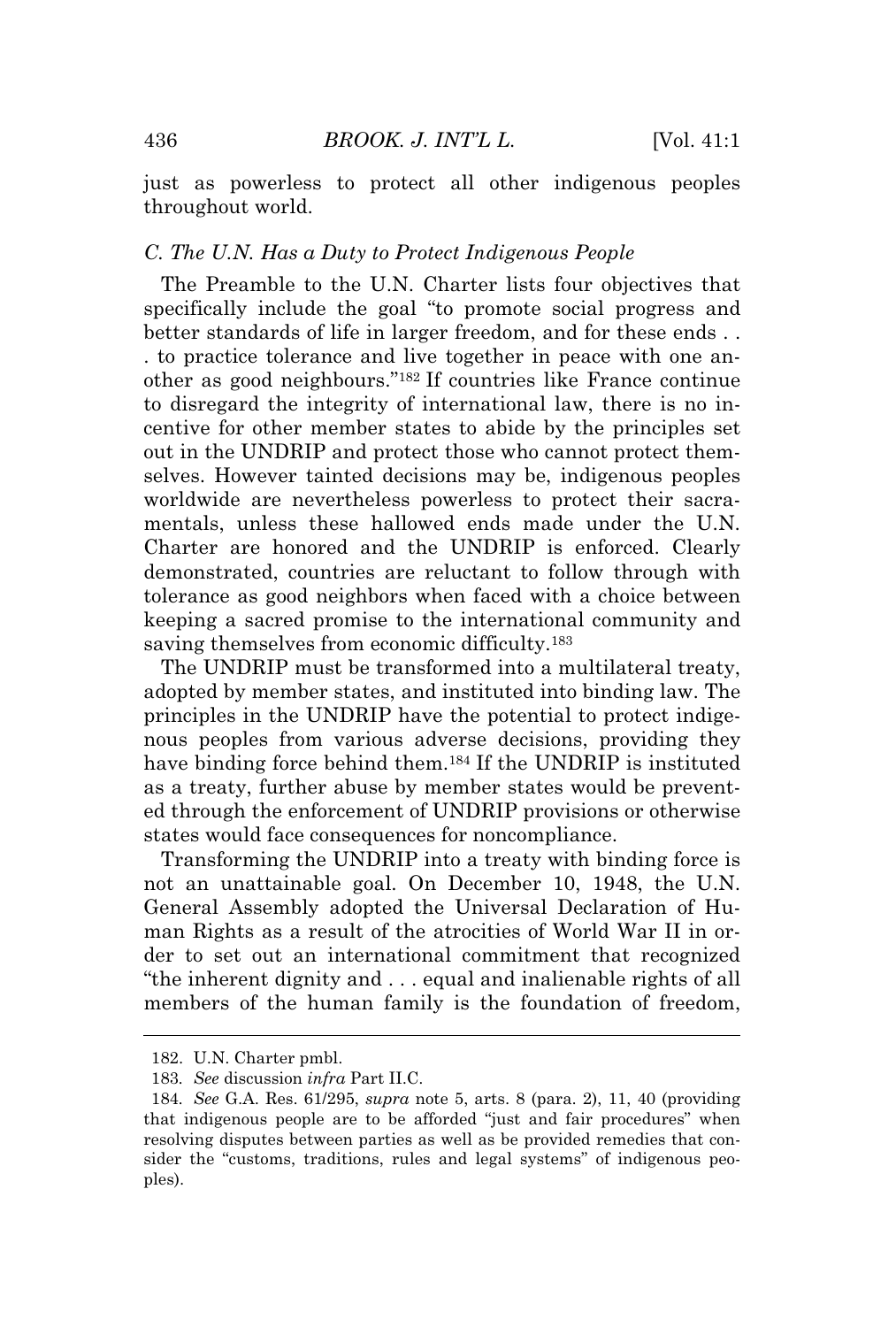just as powerless to protect all other indigenous peoples throughout world.

# *C. The U.N. Has a Duty to Protect Indigenous People*

The Preamble to the U.N. Charter lists four objectives that specifically include the goal "to promote social progress and better standards of life in larger freedom, and for these ends . . . to practice tolerance and live together in peace with one another as good neighbours." <sup>182</sup> If countries like France continue to disregard the integrity of international law, there is no incentive for other member states to abide by the principles set out in the UNDRIP and protect those who cannot protect themselves. However tainted decisions may be, indigenous peoples worldwide are nevertheless powerless to protect their sacramentals, unless these hallowed ends made under the U.N. Charter are honored and the UNDRIP is enforced. Clearly demonstrated, countries are reluctant to follow through with tolerance as good neighbors when faced with a choice between keeping a sacred promise to the international community and saving themselves from economic difficulty.<sup>183</sup>

The UNDRIP must be transformed into a multilateral treaty, adopted by member states, and instituted into binding law. The principles in the UNDRIP have the potential to protect indigenous peoples from various adverse decisions, providing they have binding force behind them.<sup>184</sup> If the UNDRIP is instituted as a treaty, further abuse by member states would be prevented through the enforcement of UNDRIP provisions or otherwise states would face consequences for noncompliance.

Transforming the UNDRIP into a treaty with binding force is not an unattainable goal. On December 10, 1948, the U.N. General Assembly adopted the Universal Declaration of Human Rights as a result of the atrocities of World War II in order to set out an international commitment that recognized "the inherent dignity and . . . equal and inalienable rights of all members of the human family is the foundation of freedom,

<sup>182.</sup> U.N. Charter pmbl.

<sup>183</sup>*. See* discussion *infra* Part II.C.

<sup>184</sup>*. See* G.A. Res. 61/295, *supra* note 5, arts. 8 (para. 2), 11, 40 (providing that indigenous people are to be afforded "just and fair procedures" when resolving disputes between parties as well as be provided remedies that consider the "customs, traditions, rules and legal systems" of indigenous peoples).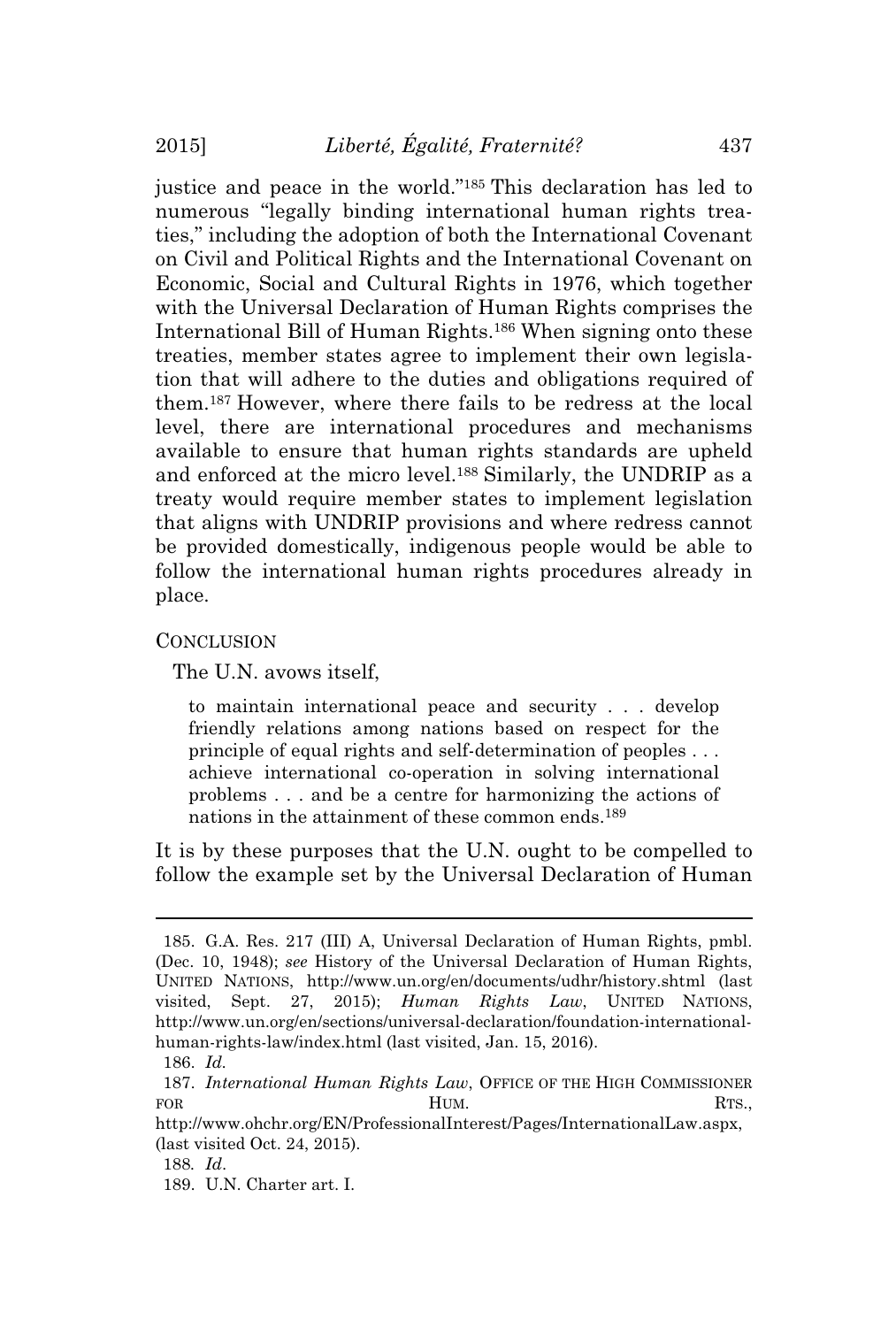justice and peace in the world." <sup>185</sup> This declaration has led to numerous "legally binding international human rights treaties," including the adoption of both the International Covenant on Civil and Political Rights and the International Covenant on Economic, Social and Cultural Rights in 1976, which together with the Universal Declaration of Human Rights comprises the International Bill of Human Rights.<sup>186</sup> When signing onto these treaties, member states agree to implement their own legislation that will adhere to the duties and obligations required of them.<sup>187</sup> However, where there fails to be redress at the local level, there are international procedures and mechanisms available to ensure that human rights standards are upheld and enforced at the micro level.<sup>188</sup> Similarly, the UNDRIP as a treaty would require member states to implement legislation that aligns with UNDRIP provisions and where redress cannot be provided domestically, indigenous people would be able to follow the international human rights procedures already in place.

#### CONCLUSION

The U.N. avows itself,

to maintain international peace and security . . . develop friendly relations among nations based on respect for the principle of equal rights and self-determination of peoples . . . achieve international co-operation in solving international problems . . . and be a centre for harmonizing the actions of nations in the attainment of these common ends.189

It is by these purposes that the U.N. ought to be compelled to follow the example set by the Universal Declaration of Human

<sup>185.</sup> G.A. Res. 217 (III) A, Universal Declaration of Human Rights, pmbl. (Dec. 10, 1948); *see* History of the Universal Declaration of Human Rights, UNITED NATIONS, http://www.un.org/en/documents/udhr/history.shtml (last visited, Sept. 27, 2015); *Human Rights Law*, UNITED NATIONS, http://www.un.org/en/sections/universal-declaration/foundation-internationalhuman-rights-law/index.html (last visited, Jan. 15, 2016).

<sup>186.</sup> *Id.*

<sup>187.</sup> *International Human Rights Law*, OFFICE OF THE HIGH COMMISSIONER FOR **HUM.** RTS.

http://www.ohchr.org/EN/ProfessionalInterest/Pages/InternationalLaw.aspx, (last visited Oct. 24, 2015).

<sup>188</sup>*. Id*.

<sup>189.</sup> U.N. Charter art. I.